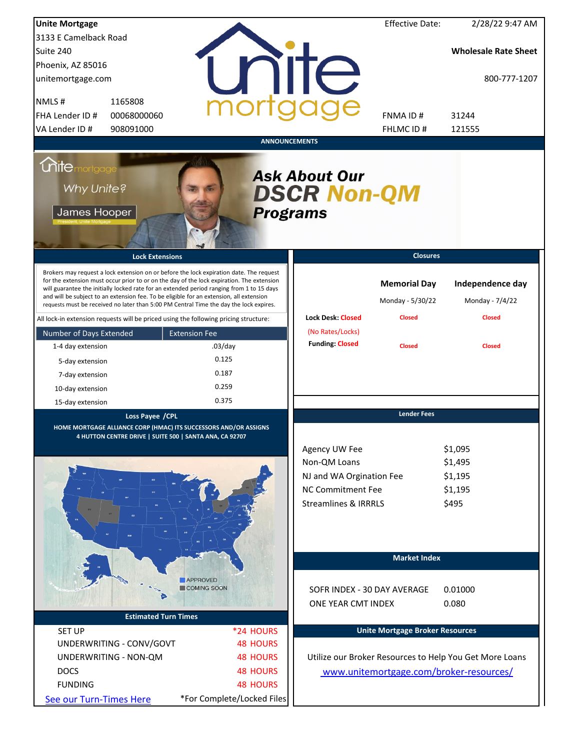| <b>Unite Mortgage</b>                                                                                                                                                                                                                                                                                                                                                                                                                                                  |                                |                                                                                                                   | <b>Effective Date:</b>                  | 2/28/22 9:47 AM                                         |
|------------------------------------------------------------------------------------------------------------------------------------------------------------------------------------------------------------------------------------------------------------------------------------------------------------------------------------------------------------------------------------------------------------------------------------------------------------------------|--------------------------------|-------------------------------------------------------------------------------------------------------------------|-----------------------------------------|---------------------------------------------------------|
| 3133 E Camelback Road                                                                                                                                                                                                                                                                                                                                                                                                                                                  |                                |                                                                                                                   |                                         |                                                         |
| Suite 240                                                                                                                                                                                                                                                                                                                                                                                                                                                              |                                |                                                                                                                   |                                         | <b>Wholesale Rate Sheet</b>                             |
| Phoenix, AZ 85016                                                                                                                                                                                                                                                                                                                                                                                                                                                      |                                |                                                                                                                   |                                         |                                                         |
| unitemortgage.com                                                                                                                                                                                                                                                                                                                                                                                                                                                      |                                | nite                                                                                                              |                                         | 800-777-1207                                            |
| NMLS#<br>1165808                                                                                                                                                                                                                                                                                                                                                                                                                                                       |                                |                                                                                                                   |                                         |                                                         |
| FHA Lender ID #<br>00068000060                                                                                                                                                                                                                                                                                                                                                                                                                                         |                                |                                                                                                                   | <b>FNMAID#</b>                          | 31244                                                   |
| VA Lender ID #<br>908091000                                                                                                                                                                                                                                                                                                                                                                                                                                            |                                |                                                                                                                   | FHLMC ID#                               | 121555                                                  |
|                                                                                                                                                                                                                                                                                                                                                                                                                                                                        | <b>ANNOUNCEMENTS</b>           |                                                                                                                   |                                         |                                                         |
| <i><u><b>Chitemortgage</b></u></i><br>Why Unite?<br>James Hooper                                                                                                                                                                                                                                                                                                                                                                                                       | <b>Programs</b>                | <b>Ask About Our</b><br><b>DSCR Non-QM</b>                                                                        |                                         |                                                         |
| <b>Lock Extensions</b>                                                                                                                                                                                                                                                                                                                                                                                                                                                 |                                |                                                                                                                   | <b>Closures</b>                         |                                                         |
| Brokers may request a lock extension on or before the lock expiration date. The request<br>for the extension must occur prior to or on the day of the lock expiration. The extension<br>will guarantee the initially locked rate for an extended period ranging from 1 to 15 days<br>and will be subject to an extension fee. To be eligible for an extension, all extension<br>requests must be received no later than 5:00 PM Central Time the day the lock expires. |                                |                                                                                                                   | <b>Memorial Day</b><br>Monday - 5/30/22 | Independence day<br>Monday - 7/4/22                     |
| All lock-in extension requests will be priced using the following pricing structure:                                                                                                                                                                                                                                                                                                                                                                                   |                                | <b>Lock Desk: Closed</b>                                                                                          | <b>Closed</b>                           | <b>Closed</b>                                           |
| Number of Days Extended                                                                                                                                                                                                                                                                                                                                                                                                                                                | <b>Extension Fee</b>           | (No Rates/Locks)<br><b>Funding: Closed</b>                                                                        |                                         |                                                         |
| 1-4 day extension                                                                                                                                                                                                                                                                                                                                                                                                                                                      | $.03$ /day                     |                                                                                                                   | <b>Closed</b>                           | <b>Closed</b>                                           |
| 5-day extension                                                                                                                                                                                                                                                                                                                                                                                                                                                        | 0.125                          |                                                                                                                   |                                         |                                                         |
| 7-day extension                                                                                                                                                                                                                                                                                                                                                                                                                                                        | 0.187                          |                                                                                                                   |                                         |                                                         |
| 10-day extension                                                                                                                                                                                                                                                                                                                                                                                                                                                       | 0.259                          |                                                                                                                   |                                         |                                                         |
| 15-day extension                                                                                                                                                                                                                                                                                                                                                                                                                                                       | 0.375                          |                                                                                                                   |                                         |                                                         |
| Loss Payee / CPL<br>HOME MORTGAGE ALLIANCE CORP (HMAC) ITS SUCCESSORS AND/OR ASSIGNS<br>4 HUTTON CENTRE DRIVE   SUITE 500   SANTA ANA, CA 92707                                                                                                                                                                                                                                                                                                                        |                                | Agency UW Fee<br>Non-QM Loans<br>NJ and WA Orgination Fee<br>NC Commitment Fee<br><b>Streamlines &amp; IRRRLS</b> | <b>Lender Fees</b>                      | \$1,095<br>\$1,495<br>\$1,195<br>\$1,195<br>\$495       |
|                                                                                                                                                                                                                                                                                                                                                                                                                                                                        |                                |                                                                                                                   | <b>Market Index</b>                     |                                                         |
|                                                                                                                                                                                                                                                                                                                                                                                                                                                                        | <b>APPROVED</b><br>COMING SOON | SOFR INDEX - 30 DAY AVERAGE<br>ONE YEAR CMT INDEX                                                                 |                                         | 0.01000<br>0.080                                        |
| <b>Estimated Turn Times</b>                                                                                                                                                                                                                                                                                                                                                                                                                                            |                                |                                                                                                                   |                                         |                                                         |
| <b>SET UP</b>                                                                                                                                                                                                                                                                                                                                                                                                                                                          | *24 HOURS                      |                                                                                                                   | <b>Unite Mortgage Broker Resources</b>  |                                                         |
| UNDERWRITING - CONV/GOVT                                                                                                                                                                                                                                                                                                                                                                                                                                               | <b>48 HOURS</b>                |                                                                                                                   |                                         |                                                         |
| UNDERWRITING - NON-QM                                                                                                                                                                                                                                                                                                                                                                                                                                                  | <b>48 HOURS</b>                |                                                                                                                   |                                         | Utilize our Broker Resources to Help You Get More Loans |
| <b>DOCS</b>                                                                                                                                                                                                                                                                                                                                                                                                                                                            | <b>48 HOURS</b>                |                                                                                                                   |                                         | www.unitemortgage.com/broker-resources/                 |
| <b>FUNDING</b>                                                                                                                                                                                                                                                                                                                                                                                                                                                         | <b>48 HOURS</b>                |                                                                                                                   |                                         |                                                         |
| See our Turn-Times Here                                                                                                                                                                                                                                                                                                                                                                                                                                                | *For Complete/Locked Files     |                                                                                                                   |                                         |                                                         |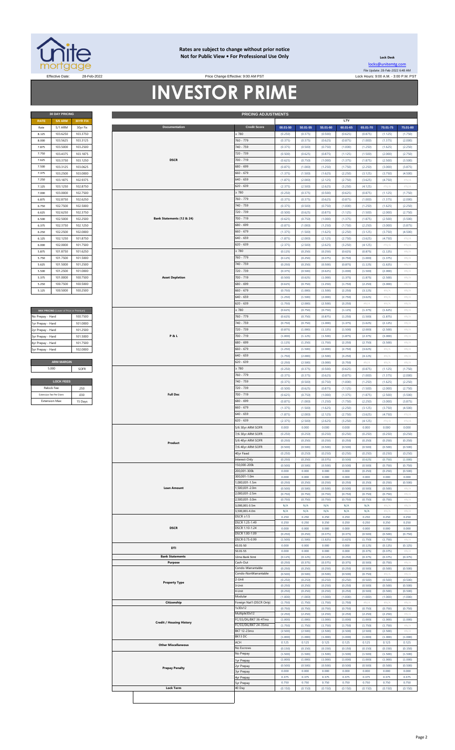

#### **Rates are subject to change without prior notice Not for Public View • For Professional Use Only**

Rate 5/1 ARM 30yr Fix **00.01-50 50.01-55 55.01-60 60.01-65 65.01-70 70.01-75 75.01-80**

**Lock Desk** [locks@unitemtg](mailto:locks@unitemtg.com).com File Update: 28-Feb-2022 6:48 AM

**LTV**

# Effective: 9:00 AM PST Lock Hours: 9:00 A.M. - 3:00 P.M. PST Lock Hours: 9:00 A.M. - 3:00 P.M. PST **INVESTOR PRIME**

| <b>30 DAY PRICING</b> |                |          |  |  |
|-----------------------|----------------|----------|--|--|
| <b>RATE</b>           | <b>5/6 ARM</b> | 30YR FIX |  |  |
| Rate                  | 5/1 ARM        | 30yr Fix |  |  |
| 8.125                 | 103.6250       | 103.3750 |  |  |
| 8,000                 | 103.5625       | 103.3125 |  |  |
| 7.875                 | 103.5000       | 103.2500 |  |  |
| 7.750                 | 103.4375       | 103.1875 |  |  |
| 7.625                 | 103.3750       | 103.1250 |  |  |
| 7.500                 | 103.3125       | 103.0625 |  |  |
| 7.375                 | 103.2500       | 103.0000 |  |  |
| 7.250                 | 103.1875       | 102.9375 |  |  |
| 7.125                 | 103.1250       | 102.8750 |  |  |
| 7.000                 | 103,0000       | 102.7500 |  |  |
| 6.875                 | 102.8750       | 102.6250 |  |  |
| 6.750                 | 102.7500       | 102.5000 |  |  |
| 6.625                 | 102.6250       | 102.3750 |  |  |
| 6.500                 | 102.5000       | 102.2500 |  |  |
| 6.375                 | 102.3750       | 102.1250 |  |  |
| 6.250                 | 102.2500       | 102.0000 |  |  |
| 6.125                 | 102.1250       | 101.8750 |  |  |
| 6.000                 | 102.0000       | 101.7500 |  |  |
| 5.875                 | 101.8750       | 101.6250 |  |  |
| 5.750                 | 101.7500       | 101.5000 |  |  |
| 5.625                 | 101.5000       | 101.2500 |  |  |
| 5.500                 | 101.2500       | 101.0000 |  |  |
| 5.375                 | 101.0000       | 100.7500 |  |  |
| 5.250                 | 100.7500       | 100.5000 |  |  |
| 5.125                 | 100.5000       | 100.2500 |  |  |

| MAX PRICING (Lower of Price or Premium) |          |
|-----------------------------------------|----------|
| No Prepay - Hard                        | 100 7500 |
| 1yr Prepay - Hard                       | 101 0000 |
| 2yr Prepay - Hard                       | 101 2500 |
| 3yr Prepay - Hard                       | 101 5000 |
| 4yr Prepay - Hard                       | 101 7500 |
| 5yr Prepay - Hard                       | 102.0000 |
|                                         |          |
| <b>ARM MARGIN</b>                       |          |
| 5.000                                   | SOFR     |
|                                         |          |
| <b>LOCK FEES</b>                        |          |
| Relock Fee:                             | 250      |
|                                         |          |

| 8.000             | 103.6250                                | 103.3750 |  |                                 | $\geq 780$                       | (0.250)          | (0.375)          | (0.500)          | (0.625)          | (0.875)                    | (1.125)          | (1.750)                    |
|-------------------|-----------------------------------------|----------|--|---------------------------------|----------------------------------|------------------|------------------|------------------|------------------|----------------------------|------------------|----------------------------|
|                   | 103.5625                                | 103.3125 |  |                                 | 760 - 779                        | (0.375)          | (0.375)          | (0.625)          | (0.875)          | (1.000)                    | (1.375)          | (2.000)                    |
| 7.875             | 103.5000                                | 103.2500 |  |                                 | 740 - 759                        | (0.375)          | (0.500)          | (0.750)          | (1.000)          | (1.250)                    | (1.625)          | (2.250)                    |
|                   |                                         |          |  |                                 | 720 - 739                        |                  |                  |                  |                  |                            |                  |                            |
| 7.750             | 103.4375                                | 103.1875 |  |                                 |                                  | (0.500)          | (0.625)          | (0.875)          | (1.125)          | (1.500)                    | (2.000)          | (2.750)                    |
| 7.625             | 103.3750                                | 103.1250 |  | <b>DSCR</b>                     | 700 - 719                        | (0.625)          | (0.750)          | (1.000)          | (1.375)          | (1.875)                    | (2.500)          | (3.500)                    |
| 7.500             | 103.3125                                | 103.0625 |  |                                 | 680 - 699                        | (0.875)          | (1.000)          | (1.250)          | (1.750)          | (2.250)                    | (3.000)          | (3.875)                    |
| 7.375             | 103.2500                                | 103.0000 |  |                                 | 660 - 679                        | (1.375)          | (1.500)          | (1.625)          | (2.250)          | (3.125)                    | (3.750)          | (4.500)                    |
| 7.250             | 103.1875                                | 102.9375 |  |                                 | 540 - 659                        | (1.875)          | (2.000)          | (2.125)          | (2.750)          | (3.625)                    | (4.750)          | $\#N/A$                    |
| 7.125             | 103.1250                                | 102.8750 |  |                                 | 620 - 639                        | (2.375)          | (2.500)          | (2.625)          | (3.250)          | (4.125)                    | $\#N/A$          | $\#N/A$                    |
| 7.000             | 103.0000                                | 102.7500 |  |                                 | $\geq 780$                       | (0.250)          | (0.375)          | (0.500)          | (0.625)          | (0.875)                    | (1.125)          | (1.750)                    |
| 6.875             | 102.8750                                | 102.6250 |  |                                 | 760 - 779                        | (0.375)          | (0.375)          | (0.625)          | (0.875)          | (1.000)                    | (1.375)          | (2.000)                    |
|                   |                                         |          |  |                                 |                                  |                  |                  |                  |                  |                            |                  |                            |
| 6.750             | 102.7500                                | 102.5000 |  |                                 | 740 - 759                        | (0.375)          | (0.500)          | (0.750)          | (1.000)          | (1.250)                    | (1.625)          | (2.250)                    |
| 6.625             | 102.6250                                | 102.3750 |  |                                 | 720 - 739                        | (0.500)          | (0.625)          | (0.875)          | (1.125)          | (1.500)                    | (2.000)          | (2.750)                    |
| 6.500             | 102.5000                                | 102.2500 |  | Bank Statements (12 & 24)       | 700 - 719                        | (0.625)          | (0.750)          | (1.000)          | (1.375)          | (1.875)                    | (2.500)          | (3.500)                    |
| 6.375             | 102.3750                                | 102.1250 |  |                                 | 680 - 699                        | (0.875)          | (1.000)          | (1.250)          | (1.750)          | (2.250)                    | (3.000)          | (3.875)                    |
| 6.250             | 102.2500                                | 102.0000 |  |                                 | $660 - 679$                      | (1.375)          | (1.500)          | (1.625)          | (2.250)          | (3.125)                    | (3.750)          | (4.500)                    |
| 6.125             | 102.1250                                | 101.8750 |  |                                 | $640 - 659$                      | (1.875)          | (2.000)          | (2.125)          | (2.750)          | (3.625)                    | (4.750)          | $\#N/A$                    |
| 6.000             | 102.0000                                | 101.7500 |  |                                 | 620 - 639                        | (2.375)          | (2.500)          | (2.625)          | (3.250)          | (4.125)                    | $\#N/A$          | $\#N/A$                    |
| 5.875             | 101.8750                                | 101.6250 |  |                                 | $\geq 780$                       | (0.125)          | (0.250)          | (0.250)          | (0.625)          | (0.875)                    | (1.125)          | #N/A                       |
| 5.750             | 101.7500                                | 101.5000 |  |                                 | 760 - 779                        | (0.125)          | (0.250)          | (0.375)          | (0.750)          | (1.000)                    | (1.375)          | #N/A                       |
|                   |                                         |          |  |                                 |                                  |                  |                  |                  |                  |                            |                  |                            |
| 5.625             | 101.5000                                | 101.2500 |  |                                 | 740 - 759                        | (0.250)          | (0.250)          | (0.500)          | (0.875)          | (1.125)                    | (1.625)          | $\#N/A$                    |
| 5.500             | 101.2500                                | 101.0000 |  |                                 | 720 - 739                        | (0.375)          | (0.500)          | (0.625)          | (1.000)          | (1.500)                    | (2.000)          | $\#N/A$                    |
| 5.375             | 101.0000                                | 100.7500 |  | <b>Asset Depletion</b>          | 700 - 719                        | (0.500)          | (0.625)          | (1.000)          | (1.375)          | (1.875)                    | (2.500)          | $\# \mathbb{N}/\mathbb{A}$ |
| 5.250             | 100.7500                                | 100.5000 |  |                                 | 680 - 699                        | (0.625)          | (0.750)          | (1.250)          | (1.750)          | (2.250)                    | (3.000)          | $\# \mathbb{N}/\mathbb{A}$ |
| 5.125             | 100.5000                                | 100.2500 |  |                                 | 660 - 679                        | (0.750)          | (1.000)          | (1.500)          | (2.250)          | (3.125)                    | #N/A             | $\#\mathbb{N}/\mathbb{A}$  |
|                   |                                         |          |  |                                 | 640 - 659                        | (1.250)          | (1.500)          | (2.000)          | (2.750)          | (3.625)                    | $\#N/A$          | $\#N/A$                    |
|                   |                                         |          |  |                                 | 620 - 639                        | (1.750)          | (2.000)          | (2.500)          | (3.250)          | $\#N/A$                    | #N/A             | $\#N/A$                    |
|                   | MAX PRICING (Lower of Price or Premium) |          |  |                                 | $\geq 780$                       | (0.625)          | (0.750)          | (0.750)          | (1.125)          | (1.375)                    | (1.625)          | #N/A                       |
|                   |                                         |          |  |                                 | 760 - 779                        | (0.625)          | (0.750)          | (0.875)          | (1.250)          | (1.500)                    | (1.875)          | $\#N/A$                    |
| No Prepay - Hard  |                                         | 100.7500 |  |                                 |                                  |                  |                  |                  |                  |                            |                  |                            |
| 1yr Prepay - Hard |                                         | 101.0000 |  |                                 | 740 - 759                        | (0.750)          | (0.750)          | (1.000)          | (1.375)          | (1.625)                    | (2.125)          | $\#N/A$                    |
| 2yr Prepay - Hard |                                         | 101.2500 |  |                                 | 720 - 739                        | (0.875)          | (1.000)          | (1.125)          | (1.500)          | (2.000)                    | (2.500)          | $\#N/A$                    |
| 3yr Prepay - Hard |                                         | 101.5000 |  | <b>P&amp;L</b>                  | 700 - 719                        | (1.000)          | (1.125)          | (1.500)          | (1.875)          | (2.375)                    | (3.000)          | #N/A                       |
| 4yr Prepay - Hard |                                         | 101.7500 |  |                                 | 580 - 699                        | (1.125)          | (1.250)          | (1.750)          | (2.250)          | (2.750)                    | (3.500)          | #N/A                       |
| 5yr Prepay - Hard |                                         | 102.0000 |  |                                 | 560 - 679                        | (1.250)          | (1.500)          | (2.000)          | (2.750)          | (3.625)                    | #N/A             | #N/A                       |
|                   |                                         |          |  |                                 | 640 - 659                        | (1.750)          | (2.000)          | (2.500)          | (3.250)          | (4.125)                    | $\#N/A$          | $\# \mathbb{N}/\mathbb{A}$ |
|                   | <b>ARM MARGIN</b>                       |          |  |                                 | 520 - 639                        | (2.250)          | (2.500)          | (3.000)          | (3.750)          | $\# \mathbb{N}/\mathbb{A}$ | #N/A             | $\# \mathbb{N}/\mathbb{A}$ |
|                   | 5.000                                   | SOFR     |  |                                 | $\geq 780$                       | (0.250)          | (0.375)          | (0.500)          | (0.625)          | (0.875)                    | (1.125)          | (1.750)                    |
|                   |                                         |          |  |                                 | 760 - 779                        | (0.375)          | (0.375)          | (0.625)          | (0.875)          | (1.000)                    | (1.375)          | (2.000)                    |
|                   |                                         |          |  |                                 |                                  |                  |                  |                  |                  |                            |                  |                            |
|                   | <b>LOCK FEES</b>                        |          |  |                                 | 740 - 759                        | (0.375)          | (0.500)          | (0.750)          | (1.000)          | (1.250)                    | (1.625)          | (2.250)                    |
|                   | Relock Fee:                             | .250     |  |                                 | 720 - 739                        | (0.500)          | (0.625)          | (0.875)          | (1.125)          | (1.500)                    | (2.000)          | (2.750)                    |
|                   | <b>Extension Fee Per Diem</b>           | .030     |  | <b>Full Doc</b>                 | 700 - 719                        | (0.625)          | (0.750)          | (1.000)          | (1.375)          | (1.875)                    | (2.500)          | (3.500)                    |
|                   | <b>Extension Max:</b>                   | 15 Days  |  |                                 | 680 - 699                        | (0.875)          | (1.000)          | (1.250)          | (1.750)          | (2.250)                    | (3.000)          | (3.875)                    |
|                   |                                         |          |  |                                 | 660 - 679                        | (1.375)          | (1.500)          | (1.625)          | (2.250)          | (3.125)                    | (3.750)          | (4.500)                    |
|                   |                                         |          |  |                                 | 540 - 659                        | (1.875)          | (2.000)          | (2.125)          | (2.750)          | (3.625)                    | (4.750)          | $\#N/A$                    |
|                   |                                         |          |  |                                 | 520 - 639                        | (2.375)          | (2.500)          | (2.625)          | (3.250)          | (4.125)                    | $\#N/A$          | $\#N/A$                    |
|                   |                                         |          |  |                                 | 5/6 30yr ARM SOFR                | 0.000            | 0.000            | 0.000            | 0.000            | 0.000                      | 0.000            | 0.000                      |
|                   |                                         |          |  |                                 | 7/6 30yr ARM SOFR                | (0.250)          | (0.250)          | (0.250)          | (0.250)          | (0.250)                    | (0.250)          | (0.250)                    |
|                   |                                         |          |  |                                 |                                  |                  |                  |                  |                  |                            |                  |                            |
|                   |                                         |          |  | Product                         | 5/6 40yr ARM SOFR                | (0.250)          | (0.250)          | (0.250)          | (0.250)          | (0.250)                    | (0.250)          | (0.250)                    |
|                   |                                         |          |  |                                 | 7/6 40yr ARM SOFR                | (0.500)          | (0.500)          | (0.500)          | (0.500)          | (0.500)                    | (0.500)          | (0.500)                    |
|                   |                                         |          |  |                                 | 40yr Fixed                       | (0.250)          | (0.250)          | (0.250)          | (0.250)          | (0.250)                    | (0.250)          | (0.250)                    |
|                   |                                         |          |  |                                 |                                  | (0.250)          | (0.250)          | (0.375)          |                  |                            |                  |                            |
|                   |                                         |          |  |                                 | Interest-Only                    |                  |                  |                  | (0.500)          | (0.625)                    | (0.750)          | (1.000)                    |
|                   |                                         |          |  |                                 | 50,000-200k                      | (0.500)          | (0.500)          | (0.500)          | (0.500)          | (0.500)                    | (0.750)          | (0.750)                    |
|                   |                                         |          |  |                                 | 200,001-300k                     | 0.000            | 0.000            | 0.000            | 0.000            | (0.250)                    | (0.250)          | (0.500)                    |
|                   |                                         |          |  |                                 | 300,001-1.0m                     | 0.000            | 0.000            | 0.000            | 0.000            | 0.000                      | 0.000            | 0.000                      |
|                   |                                         |          |  |                                 | 1,000,001-1.5m                   | (0.250)          | (0.250)          | (0.250)          | (0.250)          | (0.250)                    | (0.250)          | (0.500)                    |
|                   |                                         |          |  | <b>Loan Amount</b>              | 1,500,001-2.0m                   | (0.500)          | (0.500)          | (0.500)          | (0.500)          | (0.500)                    | (0.500)          | $\#N/A$                    |
|                   |                                         |          |  |                                 | 2,000,001-2.5m                   | (0.750)          | (0.750)          | (0.750)          | (0.750)          | (0.750)                    | (0.750)          | #N/A                       |
|                   |                                         |          |  |                                 | 2,500,001-3.0m                   | (0.750)          | (0.750)          | (0.750)          | (0.750)          | (0.750)                    | (0.750)          | #N/A                       |
|                   |                                         |          |  |                                 | 3,000,001-3.5m                   | N/A              | N/A              | N/A              | N/A              | N/A                        | $\#N/$           | #N/                        |
|                   |                                         |          |  |                                 | 3,500,001-4.0m                   | N/A              | N/A              | N/A              | N/A              | N/A                        | $\#N/A$          | #N/A                       |
|                   |                                         |          |  |                                 | $DSCR \geq 1.5$                  | 0.250            | 0.250            | 0.250            | 0.250            | 0.250                      | 0.250            | 0.250                      |
|                   |                                         |          |  | <b>DSCR</b>                     | DSCR 1.25-1.49<br>DSCR 1.10-1.24 | 0.250<br>0.000   | 0.250<br>0.000   | 0.250<br>0.000   | 0.250<br>0.000   | 0.250<br>0.000             | 0.250<br>0.000   | 0.250<br>0.000             |
|                   |                                         |          |  |                                 | DSCR 1.00-1.09                   | (0.250)          | (0.250)          | (0.375)          | (0.375)          | (0.500)                    | (0.500)          | (0.750)                    |
|                   |                                         |          |  |                                 | DSCR 0.75-0.99                   | (1.500)          | (1.500)          | (1.625)          | (1.625)          | (1.750)                    | (1.750)          | #N/A                       |
|                   |                                         |          |  |                                 | 43.01-50                         | 0.000            | 0.000            | 0.000            | 0.000            | (0.125)                    | (0.125)          | (0.125)                    |
|                   |                                         |          |  | DTI                             | 50.01-55                         | 0.000            | 0.000            | 0.000            | 0.000            | (0.375)                    | (0.375)          | #N/A                       |
|                   |                                         |          |  | <b>Bank Statements</b>          | 12mo Bank Stmt                   | (0.125)          | (0.125)          | (0.125)          | (0.250)          | (0.375)                    | (0.375)          | (0.375)                    |
|                   |                                         |          |  | Purpose                         | Cash-Out                         | (0.250)          | (0.375)          | (0.375)          | (0.375)          | (0.500)                    | (0.750)          | #N/A                       |
|                   |                                         |          |  |                                 | Condo-Warrantable                | (0.250)          | (0.250)          | (0.250)          | (0.250)          | (0.500)                    | (0.500)          | (0.500)                    |
|                   |                                         |          |  |                                 | Condo-NonWarrantable             | (0.500)          | (0.500)          | (0.500)          | (0.500)          | (0.750)                    | $\#N/I$          | #N/A                       |
|                   |                                         |          |  | <b>Property Type</b>            | 2-Unit                           | (0.250)          | (0.250)          | (0.250)          | (0.250)          | (0.500)                    | (0.500)          | (0.500)                    |
|                   |                                         |          |  |                                 | -Unit                            | (0.250)          | (0.250)          | (0.250)          | (0.250)          | (0.500)                    | (0.500)          | (0.500)                    |
|                   |                                         |          |  |                                 | l-Unit                           | (0.250)          | (0.250)          | (0.250)          | (0.250)          | (0.500)                    | (0.500)          | (0.500)                    |
|                   |                                         |          |  |                                 | Modular                          | (1.000)          | (1.000)          | (1.000)          | (1.000)          | (1.000)                    | (1.000)          | (1.000)                    |
|                   |                                         |          |  | Citizenship                     | Foreign Nat'l (DSCR Only)        | (1.750)          | (1.750)          | (1.750)          | (1.750)          | $\#N/A$                    | $\#N/A$          | $\#N/A$                    |
|                   |                                         |          |  |                                 | 1x30x12                          | (0.750)          | (0.750)          | (0.750)          | (0.750)          | (0.750)                    | (0.750)          | (0.750)                    |
|                   |                                         |          |  |                                 | Multiple30x12                    | (2.250)          | (2.250)          | (2.250)          | (2.250)          | (2.250)                    | (2.250)          | $\#N/A$                    |
|                   |                                         |          |  | <b>Credit / Housing History</b> | FC/SS/DIL/BK7 36-47mo            | (1.000)          | (1.000)          | (1.000)          | (1.000)          | (1.000)                    | (1.000)          | (1.000)                    |
|                   |                                         |          |  |                                 | FC/SS/DIL/BK7 24-35mo            | (1.750)          | (1.750)          | (1.750)          | (1.750)          | (1.750)                    | (1.750)          | $\#N/A$                    |
|                   |                                         |          |  |                                 | BK7 12-23mo<br>BK13 DC           | (2.500)          | (2.500)          | (2.500)          | (2.500)          | (2.500)                    | (2.500)          | #N/A                       |
|                   |                                         |          |  |                                 | ACH                              | (1.000)          | (1.000)          | (1.000)          | (1.000)          | (1.000)                    | (1.000)          | (1.000)                    |
|                   |                                         |          |  | <b>Other Miscellaneous</b>      | No Escrows                       | 0.125<br>(0.150) | 0.125<br>(0.150) | 0.125<br>(0.150) | 0.125<br>(0.150) | 0.125<br>(0.150)           | 0.125<br>(0.150) | 0.125<br>(0.150)           |
|                   |                                         |          |  |                                 | No Prepay                        | (1.500)          | (1.500)          | (1.500)          | (1.500)          | (1.500)                    | (1.500)          | (1.500)                    |
|                   |                                         |          |  |                                 |                                  | (1.000)          | (1.000)          | (1.000)          | (1.000)          | (1.000)                    | (1.000)          | (1.000)                    |
|                   |                                         |          |  |                                 | yr Prepay<br>yr Prepay!          | (0.500)          | (0.500)          | (0.500)          | (0.500)          | (0.500)                    | (0.500)          | (0.500)                    |
|                   |                                         |          |  | <b>Prepay Penalty</b>           | lyr Prepay                       | 0.000            | 0.000            | 0.000            | 0.000            | 0.000                      | 0.000            | 0.000                      |
|                   |                                         |          |  |                                 | 4yr Prepay                       | 0.375            | 0.375            | 0.375            | 0.375            | 0.375                      | 0.375            | 0.375                      |
|                   |                                         |          |  |                                 | syr Prepay                       | 0.750            | 0.750            | 0.750            | 0.750            | 0.750                      | 0.750            | 0.750                      |
|                   |                                         |          |  | <b>Lock Term</b>                | 40 Day                           | (0.150)          | (0.150)          | (0.150)          | (0.150)          | (0.150)                    | (0.150)          | (0.150)                    |
|                   |                                         |          |  |                                 |                                  |                  |                  |                  |                  |                            |                  |                            |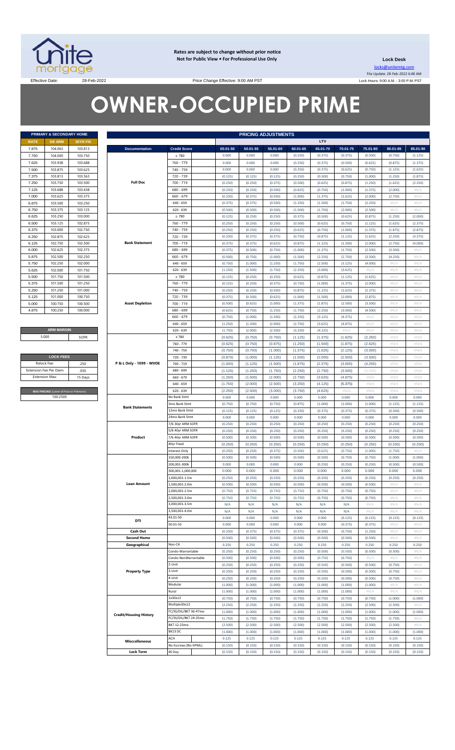

**Rates are subject to change without prior notice Not for Public View • For Professional Use Only** 

**Lock Desk** locks@unitemtg.com File Update: 28-Feb-2022 6:48 AM Lock Hours: 9:00 A.M. - 3:00 P.M. PST

Effective Date: 28-Feb-2022 2000 28-Feb-2022 Price Change Effective: 9:00 AM PST

# **OWNER-OCCUPIED PRIME**

|             | PRIMARY & SECONDARY HOME |          |
|-------------|--------------------------|----------|
| <b>RATE</b> | <b>5/6 ARM</b>           | 30YR FIX |
| 7.875       | 104.063                  | 103.813  |
| 7.750       | 104.000                  | 103.750  |
| 7.625       | 103.938                  | 103.688  |
| 7.500       | 103.875                  | 103.625  |
| 7.375       | 103.813                  | 103.563  |
| 7.250       | 103.750                  | 103.500  |
| 7.125       | 103.688                  | 103 438  |
| 7.000       | 103.625                  | 103.375  |
| 6.875       | 103.500                  | 103.250  |
| 6.750       | 103.375                  | 103.125  |
| 6.625       | 103.250                  | 103.000  |
| 6.500       | 103.125                  | 102.875  |
| 6.375       | 103.000                  | 102.750  |
| 6.250       | 102.875                  | 102.625  |
| 6.125       | 102.750                  | 102.500  |
| 6.000       | 102.625                  | 102.375  |
| 5.875       | 102.500                  | 102.250  |
| 5.750       | 102.250                  | 102.000  |
| 5.625       | 102.000                  | 101.750  |
| 5.500       | 101.750                  | 101.500  |
| 5.375       | 101.500                  | 101.250  |
| 5.250       | 101.250                  | 101.000  |
| 5.125       | 101.000                  | 100.750  |
| 5.000       | 100.750                  | 100.500  |
| 4.875       | 100.250                  | 100.000  |

**ARM MARGIN** 5.000

| <b>LOCK FEES</b>                        |         |
|-----------------------------------------|---------|
| Relock Fee:                             | 250     |
| <b>Extension Fee Per Diem</b>           | .030    |
| <b>Extension Max:</b>                   | 15 Days |
|                                         |         |
| MAX PRICING (Lower of Price or Premium) |         |
| 100.2500                                |         |

|                       | PRIMARY & SECONDARY HOME                            |          |                               | <b>PRICING ADJUSTMENTS</b> |          |          |          |          |            |          |          |          |          |
|-----------------------|-----------------------------------------------------|----------|-------------------------------|----------------------------|----------|----------|----------|----------|------------|----------|----------|----------|----------|
| RATE                  | <b>5/6 ARM</b>                                      | 30YR FIX |                               |                            |          |          |          |          | <b>LTV</b> |          |          |          |          |
| 7.875                 | 104.063                                             | 103.813  | <b>Documentation</b>          | <b>Credit Score</b>        | 00.01-50 | 50.01-55 | 55.01-60 | 60.01-65 | 65.01-70   | 70.01-75 | 75.01-80 | 80.01-85 | 85.01-90 |
| 7.750                 | 104.000                                             | 103.750  |                               | $\geq 780$                 | 0.000    | 0.000    | 0.000    | (0.250)  | (0.375)    | (0.375)  | (0.500)  | (0.750)  | (1.125)  |
| 7.625                 | 103.938                                             | 103.688  |                               | 760 - 779                  | 0.000    | 0.000    | 0.000    | (0.250)  | (0.375)    | (0.500)  | (0.625)  | (0.875)  | (1.375)  |
| 7.500                 | 103.875                                             | 103.625  |                               | 740 - 759                  | 0.000    | 0.000    | 0.000    | (0.250)  | (0.375)    | (0.625)  | (0.750)  | (1.125)  | (1.625)  |
| 7.375                 | 103.813                                             | 103.563  |                               | 720 - 739                  | (0.125)  | (0.125)  | (0.125)  | (0.250)  | (0.500)    | (0.750)  | (1.000)  | (1.250)  | (1.875)  |
| 7.250                 | 103.750                                             | 103.500  | <b>Full Doc</b>               | 700 - 719                  | (0.250)  | (0.250)  | (0.375)  | (0.500)  | (0.625)    | (0.875)  | (1.250)  | (1.625)  | (2.250)  |
| 7.125                 | 103.688                                             | 103.438  |                               | 680 - 699                  | (0.250)  | (0.250)  | (0.500)  | (0.625)  | (0.750)    | (1.000)  | (1.375)  | (2.000)  | #N/A     |
| 7.000                 | 103.625                                             | 103.375  |                               | $660 - 679$                | (0.250)  | (0.375)  | (0.500)  | (1.000)  | (1.375)    | (1.625)  | (2.000)  | (2.750)  | #N/A     |
| 6.875                 | 103.500                                             | 103.250  |                               |                            |          | (0.375)  |          |          |            |          | (2.250)  |          |          |
|                       |                                                     |          |                               | $640 - 659$                | (0.375)  |          | (0.500)  | (1.250)  | (1.500)    | (1.750)  |          | $\#N/A$  | #N/A     |
| 6.750                 | 103.375                                             | 103.125  |                               | $620 - 639$                | (0.500)  | (0.500)  | (0.500)  | (1.500)  | (1.750)    | (2.000)  | (2.500)  | $\#N/A$  | #N/A     |
| 6.625                 | 103.250                                             | 103.000  |                               | $\geq 780$                 | (0.125)  | (0.250)  | (0.250)  | (0.375)  | (0.500)    | (0.625)  | (0.875)  | (1.250)  | (2.000)  |
| 6.500                 | 103.125                                             | 102.875  |                               | 760 - 779                  | (0.250)  | (0.250)  | (0.250)  | (0.500)  | (0.625)    | (0.750)  | (1.125)  | (1.625)  | (2.375)  |
| 6.375                 | 103.000                                             | 102.750  |                               | 740 - 759                  | (0.250)  | (0.250)  | (0.250)  | (0.625)  | (0.750)    | (1.000)  | (1.375)  | (1.875)  | (2.875)  |
| 6.250                 | 102.875                                             | 102.625  |                               | 720 - 739                  | (0.250)  | (0.375)  | (0.375)  | (0.750)  | (0.875)    | (1.125)  | (1.625)  | (2.250)  | (3.375)  |
| 6.125                 | 102.750                                             | 102.500  | <b>Bank Statement</b>         | 700 - 719                  | (0.375)  | (0.375)  | (0.625)  | (0.875)  | (1.125)    | (1.500)  | (2.000)  | (2.750)  | (4.000)  |
| 6.000                 | 102.625                                             | 102.375  |                               | 680 - 699                  | (0.375)  | (0.500)  | (0.750)  | (1.000)  | (1.375)    | (1.750)  | (2.500)  | (3.500)  | #N/A     |
| 5.875                 | 102.500                                             | 102.250  |                               | $660 - 679$                | (0.500)  | (0.750)  | (1.000)  | (1.500)  | (2.250)    | (2.750)  | (3.500)  | (4.250)  | #N/A     |
| 5.750                 | 102.250                                             | 102.000  |                               | $640 - 659$                | (0.750)  | (1.000)  | (1.250)  | (1.750)  | (2.500)    | (3.125)  | (4.000)  | $\#N/A$  | #N/A     |
| 5.625                 | 102.000                                             | 101.750  |                               | $620 - 639$                | (1.250)  | (1.500)  | (1.750)  | (2.250)  | (3.000)    | (3.625)  | #N/A     | $\#N/A$  | #N/A     |
| 5.500                 | 101.750                                             | 101.500  |                               | $\geq 780$                 | (0.125)  | (0.250)  | (0.250)  | (0.625)  | (0.875)    | (1.125)  | (1.625)  | $\#N/A$  | #N/A     |
| 5.375                 | 101.500                                             | 101.250  |                               | 760 - 779                  | (0.125)  | (0.250)  | (0.375)  | (0.750)  | (1.000)    | (1.375)  | (2.000)  | $\#N/A$  | #N/A     |
| 5.250                 | 101.250                                             | 101.000  |                               | 740 - 759                  | (0.250)  | (0.250)  | (0.500)  | (0.875)  | (1.125)    | (1.625)  | (2.375)  | $\#N/A$  | #N/A     |
| 5.125                 | 101.000                                             | 100.750  |                               | 720 - 739                  | (0.375)  | (0.500)  | (0.625)  | (1.000)  | (1.500)    | (2.000)  | (2.875)  | $\#N/A$  | #N/A     |
| 5.000                 | 100.750                                             | 100.500  | <b>Asset Depletion</b>        | 700 - 719                  | (0.500)  | (0.625)  | (1.000)  | (1.375)  | (1.875)    | (2.500)  | (3.500)  | $\#N/A$  | #N/A     |
| 4.875                 | 100.250                                             | 100.000  |                               | 680 - 699                  | (0.625)  | (0.750)  | (1.250)  | (1.750)  | (2.250)    | (3.000)  | (4.500)  | $\#N/A$  | #N/A     |
|                       |                                                     |          |                               | $660 - 679$                | (0.750)  | (1.000)  | (1.500)  | (2.250)  | (3.125)    | (4.375)  | H N/A    | $\#N/A$  | #N/A     |
|                       |                                                     |          |                               | $640 - 659$                | (1.250)  | (1.500)  | (2.000)  | (2.750)  | (3.625)    | (4.875)  | #N/A     | $\#N/A$  | #N/A     |
|                       | <b>ARM MARGIN</b>                                   |          |                               | $620 - 639$                | (1.750)  | (2.000)  | (2.500)  | (3.250)  | (4.125)    | $\#N/A$  | $\#N/A$  | $\#N/A$  | #N/A     |
|                       | 5.000                                               | SOFR     |                               | $\geq 780$                 | (0.625)  | (0.750)  | (0.750)  | (1.125)  | (1.375)    | (1.625)  | (2.250)  | #N/A     | #N/A     |
|                       |                                                     |          |                               | 760 - 779                  | (0.625)  | (0.750)  | (0.875)  | (1.250)  | (1.500)    | (1.875)  | (2.625)  | #N/A     | #N/A     |
|                       |                                                     |          |                               | 740 - 759                  | (0.750)  | (0.750)  | (1.000)  | (1.375)  | (1.625)    | (2.125)  | (3.000)  | #N/A     | #N/A     |
|                       | <b>LOCK FEES</b>                                    |          |                               | 720 - 739                  | (0.875)  | (1.000)  | (1.125)  | (1.500)  | (2.000)    | (2.500)  | (3.500)  | #N/A     | #N/A     |
| Relock Fee:           |                                                     | .250     | P & L Only - 1099 - WVOE      | 700 - 719                  | (1.000)  | (1.125)  | (1.500)  | (1.875)  | (2.375)    | (3.000)  | (4.250)  | #N/A     | #N/A     |
|                       | xtension Fee Per Diem                               | .030     |                               | 680 - 699                  | (1.125)  | (1.250)  | (1.750)  | (2.250)  | (2.750)    | (3.500)  | (5.000)  | #N/A     | #N/A     |
| <b>Extension Max:</b> |                                                     | 15 Days  |                               | $660 - 679$                | (1.250)  | (1.500)  | (2.000)  | (2.750)  | (3.625)    | (4.875)  | $\#N/A$  | #N/A     | #N/A     |
|                       |                                                     |          |                               | $640 - 659$                | (1.750)  | (2.000)  | (2.500)  | (3.250)  | (4.125)    | (5.375)  | $\#N/A$  | #N/A     | #N/A     |
|                       |                                                     |          |                               |                            |          |          |          |          |            | #N/A     | $\#N/A$  | $\#N/A$  |          |
|                       | MAX PRICING (Lower of Price or Premium)<br>100.2500 |          |                               | $620 - 639$                | (2.250)  | (2.500)  | (3.000)  | (3.750)  | (4.625)    |          |          |          | #N/A     |
|                       |                                                     |          |                               | No Bank Stmt               | 0.000    | 0.000    | 0.000    | 0.000    | 0.000      | 0.000    | 0.000    | 0.000    | 0.000    |
|                       |                                                     |          | <b>Bank Statements</b>        | 3mo Bank Stmt              | (0.750)  | (0.750)  | (0.750)  | (0.875)  | (1.000)    | (1.000)  | (1.000)  | (1.125)  | (1.125)  |
|                       |                                                     |          |                               | 12mo Bank Stmt             | (0.125)  | (0.125)  | (0.125)  | (0.250)  | (0.375)    | (0.375)  | (0.375)  | (0.500)  | (0.500)  |
|                       |                                                     |          |                               | 24mo Bank Stmt             | 0.000    | 0.000    | 0.000    | 0.000    | 0.000      | 0.000    | 0.000    | 0.000    | 0.000    |
|                       |                                                     |          |                               | 7/6 30yr ARM SOFR          | (0.250)  | (0.250)  | (0.250)  | (0.250)  | (0.250)    | (0.250)  | (0.250)  | (0.250)  | (0.250)  |
|                       |                                                     |          |                               | 5/6 40yr ARM SOFR          | (0.250)  | (0.250)  | (0.250)  | (0.250)  | (0.250)    | (0.250)  | (0.250)  | (0.250)  | (0.250)  |
|                       |                                                     |          | Product                       | 7/6 40yr ARM SOFR          | (0.500)  | (0.500)  | (0.500)  | (0.500)  | (0.500)    | (0.500)  | (0.500)  | (0.500)  | (0.500)  |
|                       |                                                     |          |                               | 40yr Fixed                 | (0.250)  | (0.250)  | (0.250)  | (0.250)  | (0.250)    | (0.250)  | (0.250)  | (0.250)  | (0.250)  |
|                       |                                                     |          |                               | Interest-Only              | (0.250)  | (0.250)  | (0.375)  | (0.500)  | (0.625)    | (0.750)  | (1.000)  | (1.750)  | #N/A     |
|                       |                                                     |          |                               | 150.000-200k               | (0.500)  | (0.500)  | (0.500)  | (0.500)  | (0.500)    | (0.750)  | (0.750)  | (1.000)  | (1.000)  |
|                       |                                                     |          |                               | 200,001-300k               | 0.000    | 0.000    | 0.000    | 0.000    | (0.250)    | (0.250)  | (0.250)  | (0.500)  | (0.500)  |
|                       |                                                     |          |                               | 300,001-1,000,000          | 0.000    | 0.000    | 0.000    | 0.000    | 0.000      | 0.000    | 0.000    | 0.000    | 0.000    |
|                       |                                                     |          |                               | 1,000,001-1.5m             | (0.250)  | (0.250)  | (0.250)  | (0.250)  | (0.250)    | (0.250)  | (0.250)  | (0.250)  | (0.250)  |
|                       |                                                     |          | <b>Loan Amount</b>            | ,500,001-2.0m              | (0.500)  | (0.500)  | (0.500)  | (0.500)  | (0.500)    | (0.500)  | (0.500)  | $\#N/A$  | #N/A     |
|                       |                                                     |          |                               | 2,000,001-2.5m             | (0.750)  | (0.750)  | (0.750)  | (0.750)  | (0.750)    | (0.750)  | (0.750)  | $\#N/A$  | #N/A     |
|                       |                                                     |          |                               | 500,001-3.0m               | (0.750)  | (0.750)  | (0.750)  | (0.750)  | (0.750)    | (0.750)  | (0.750)  | $\#N/A$  | #N/A     |
|                       |                                                     |          |                               | 3,000,001-3.5m             | N/A      | N/A      | N/A      | N/A      | N/A        | N/A      | #N/A     | $\#N/A$  | #N/A     |
|                       |                                                     |          |                               | 3,500,001-4.0m             | N/A      | N/A      | N/A      | N/A      | N/A        | N/A      | H N/A    | $\#N/A$  | #N/A     |
|                       |                                                     |          | DTI                           | 43.01-50                   | 0.000    | 0.000    | 0.000    | 0.000    | 0.000      | (0.125)  | (0.125)  | (0.125)  | (0.125)  |
|                       |                                                     |          |                               | 50.01-55                   | 0.000    | 0.000    | 0.000    | 0.000    | 0.000      | (0.375)  | (0.375)  | $\#N/A$  | #N/A     |
|                       |                                                     |          | Cash Out                      |                            | (0.250)  | (0.375)  | (0.375)  | (0.375)  | (0.500)    | (0.750)  | (1.250)  | $\#N/A$  | #N/A     |
|                       |                                                     |          | <b>Second Home</b>            |                            | (0.500)  | (0.500)  | (0.500)  | (0.500)  | (0.500)    | (0.500)  | (0.500)  | $\#N/A$  | #N/A     |
|                       |                                                     |          | Geographical                  | Non-CA                     | 0.250    | 0.250    | 0.250    | 0.250    | 0.250      | 0.250    | 0.250    | 0.250    | 0.250    |
|                       |                                                     |          |                               | Condo-Warrantable          | (0.250)  | (0.250)  | (0.250)  | (0.250)  | (0.500)    | (0.500)  | (0.500)  | (0.500)  | #N/A     |
|                       |                                                     |          |                               | Condo-NonWarrantable       | (0.500)  | (0.500)  | (0.500)  | (0.500)  | (0.750)    | (0.750)  | #N/A     | $\#N/A$  | #N/A     |
|                       |                                                     |          |                               | 2-Unit                     | (0.250)  | (0.250)  | (0.250)  | (0.250)  | (0.500)    | (0.500)  | (0.500)  | (0.750)  | #N/A     |
|                       |                                                     |          | <b>Property Type</b>          | 3-Unit                     | (0.250)  | (0.250)  | (0.250)  | (0.250)  | (0.500)    | (0.500)  | (0.500)  | (0.750)  | #N/A     |
|                       |                                                     |          |                               | 4-Unit                     | (0.250)  | (0.250)  | (0.250)  | (0.250)  | (0.500)    | (0.500)  | (0.500)  | (0.750)  | #N/A     |
|                       |                                                     |          |                               | Modular                    | (1.000)  | (1.000)  | (1.000)  | (1.000)  | (1.000)    | (1.000)  | (1.000)  | $\#N/A$  | #N/A     |
|                       |                                                     |          |                               | Rural                      | (1.000)  | (1.000)  | (1.000)  | (1.000)  | (1.000)    | (1.000)  | H N/A    | $\#N/A$  | #N/A     |
|                       |                                                     |          |                               | 1x30x12                    | (0.750)  | (0.750)  | (0.750)  | (0.750)  | (0.750)    | (0.750)  | (0.750)  | (1.000)  | (1.000)  |
|                       |                                                     |          |                               | Multiple30x12              | (2.250)  | (2.250)  | (2.250)  | (2.250)  | (2.250)    | (2.250)  | (2.500)  | (2.500)  | #N/A     |
|                       |                                                     |          |                               | C/SS/DIL/BK7 36-47mo       | (1.000)  | (1.000)  | (1.000)  | (1.000)  | (1.000)    | (1.000)  | (1.000)  | (1.000)  | (1.000)  |
|                       |                                                     |          | <b>Credit/Housing History</b> | FC/SS/DIL/BK7 24-35mo      | (1.750)  | (1.750)  | (1.750)  | (1.750)  | (1.750)    | (1.750)  | (1.750)  | (1.750)  | #N/A     |
|                       |                                                     |          |                               | BK7 12-23mo                | (2.500)  | (2.500)  | (2.500)  | (2.500)  | (2.500)    | (2.500)  | (2.500)  | (2.500)  | #N/A     |
|                       |                                                     |          |                               | BK13 DC                    | (1.000)  | (1.000)  | (1.000)  | (1.000)  | (1.000)    | (1.000)  | (1.000)  | (1.000)  | (1.000)  |
|                       |                                                     |          |                               | ACH                        | 0.125    | 0.125    | 0.125    | 0.125    | 0.125      | 0.125    | 0.125    | 0.125    | 0.125    |
|                       |                                                     |          | <b>Misccellaneous</b>         | No Escrows (No HPML)       | (0.150)  | (0.150)  | (0.150)  | (0.150)  | (0.150)    | (0.150)  | (0.150)  | (0.150)  | (0.150)  |
|                       |                                                     |          | <b>Lock Term</b>              | 40 Day                     | (0.150)  | (0.150)  | (0.150)  | (0.150)  | (0.150)    | (0.150)  | (0.150)  | (0.150)  | (0.150)  |
|                       |                                                     |          |                               |                            |          |          |          |          |            |          |          |          |          |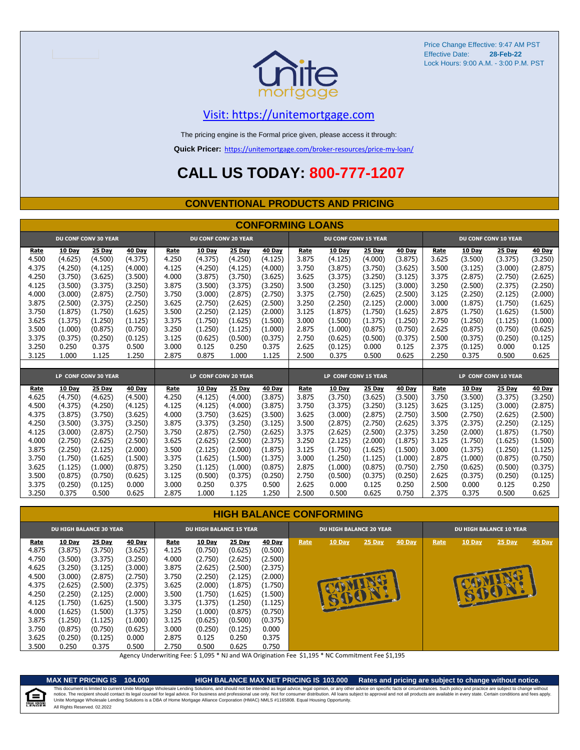

#### [V](https://unitemortgage.com/)isit: https://unitemortgage.com

The pricing engine is the Formal price given, please access it through:

**Quick Pricer:** [https://un](https://unitemortgage.com/broker-resources/price-my-loan/)itemortgage.com/broker-resources/price-my-loan/

# **CALL US TODAY: 800-777-1207**

#### **CONVENTIONAL PRODUCTS AND PRICING**

|       | <b>CONFORMING LOANS</b> |                             |         |                      |                             |         |                      |       |                             |         |         |       |                             |         |               |  |
|-------|-------------------------|-----------------------------|---------|----------------------|-----------------------------|---------|----------------------|-------|-----------------------------|---------|---------|-------|-----------------------------|---------|---------------|--|
|       |                         | <b>DU CONF CONV 30 YEAR</b> |         |                      | <b>DU CONF CONV 20 YEAR</b> |         |                      |       | <b>DU CONF CONV 15 YEAR</b> |         |         |       | <b>DU CONF CONV 10 YEAR</b> |         |               |  |
| Rate  | 10 Day                  | 25 Day                      | 40 Day  | Rate                 | 10 Day                      | 25 Day  | 40 Day               | Rate  | 10 Day                      | 25 Day  | 40 Day  | Rate  | 10 Day                      | 25 Day  | <b>40 Day</b> |  |
| 4.500 | (4.625)                 | (4.500)                     | (4.375) | 4.250                | (4.375)                     | (4.250) | (4.125)              | 3.875 | (4.125)                     | (4.000) | (3.875) | 3.625 | (3.500)                     | (3.375) | (3.250)       |  |
| 4.375 | (4.250)                 | (4.125)                     | (4.000) | 4.125                | (4.250)                     | (4.125) | (4.000)              | 3.750 | (3.875)                     | (3.750) | (3.625) | 3.500 | (3.125)                     | (3.000) | (2.875)       |  |
| 4.250 | (3.750)                 | (3.625)                     | (3.500) | 4.000                | (3.875)                     | (3.750) | (3.625)              | 3.625 | (3.375)                     | (3.250) | (3.125) | 3.375 | (2.875)                     | (2.750) | (2.625)       |  |
| 4.125 | (3.500)                 | (3.375)                     | (3.250) | 3.875                | (3.500)                     | (3.375) | (3.250)              | 3.500 | (3.250)                     | (3.125) | (3.000) | 3.250 | (2.500)                     | (2.375) | (2.250)       |  |
| 4.000 | (3.000)                 | (2.875)                     | (2.750) | 3.750                | (3.000)                     | (2.875) | (2.750)              | 3.375 | (2.750)                     | (2.625) | (2.500) | 3.125 | (2.250)                     | (2.125) | (2.000)       |  |
| 3.875 | (2.500)                 | (2.375)                     | (2.250) | 3.625                | (2.750)                     | (2.625) | (2.500)              | 3.250 | (2.250)                     | (2.125) | (2.000) | 3.000 | (1.875)                     | (1.750) | (1.625)       |  |
| 3.750 | (1.875)                 | (1.750)                     | (1.625) | 3.500                | (2.250)                     | (2.125) | (2.000)              | 3.125 | (1.875)                     | (1.750) | (1.625) | 2.875 | (1.750)                     | (1.625) | (1.500)       |  |
| 3.625 | (1.375)                 | (1.250)                     | (1.125) | 3.375                | (1.750)                     | (1.625) | (1.500)              | 3.000 | (1.500)                     | (1.375) | (1.250) | 2.750 | (1.250)                     | (1.125) | (1.000)       |  |
| 3.500 | (1.000)                 | (0.875)                     | (0.750) | 3.250                | (1.250)                     | (1.125) | (1.000)              | 2.875 | (1.000)                     | (0.875) | (0.750) | 2.625 | (0.875)                     | (0.750) | (0.625)       |  |
| 3.375 | (0.375)                 | (0.250)                     | (0.125) | 3.125                | (0.625)                     | (0.500) | (0.375)              | 2.750 | (0.625)                     | (0.500) | (0.375) | 2.500 | (0.375)                     | (0.250) | (0.125)       |  |
| 3.250 | 0.250                   | 0.375                       | 0.500   | 3.000                | 0.125                       | 0.250   | 0.375                | 2.625 | (0.125)                     | 0.000   | 0.125   | 2.375 | (0.125)                     | 0.000   | 0.125         |  |
| 3.125 | 1.000                   | 1.125                       | 1.250   | 2.875                | 0.875                       | 1.000   | 1.125                | 2.500 | 0.375                       | 0.500   | 0.625   | 2.250 | 0.375                       | 0.500   | 0.625         |  |
|       |                         |                             |         |                      |                             |         |                      |       |                             |         |         |       |                             |         |               |  |
|       |                         | LP CONF CONV 30 YEAR        |         | LP CONF CONV 20 YEAR |                             |         | LP CONF CONV 15 YEAR |       |                             |         |         |       | LP CONF CONV 10 YEAR        |         |               |  |
| Rate  | 10 Day                  | 25 Day                      | 40 Day  | Rate                 | 10 Day                      | 25 Day  | 40 Day               | Rate  | 10 Day                      | 25 Day  | 40 Day  | Rate  | 10 Day                      | 25 Day  | <b>40 Day</b> |  |
| 4.625 | (4.750)                 | (4.625)                     | (4.500) | 4.250                | (4.125)                     | (4.000) | (3.875)              | 3.875 | (3.750)                     | (3.625) | (3.500) | 3.750 | (3.500)                     | (3.375) | (3.250)       |  |
| 4.500 | (4.375)                 | (4.250)                     | (4.125) | 4.125                | (4.125)                     | (4.000) | (3.875)              | 3.750 | (3.375)                     | (3.250) | (3.125) | 3.625 | (3.125)                     | (3.000) | (2.875)       |  |
| 4.375 | (3.875)                 | (3.750)                     | (3.625) | 4.000                | (3.750)                     | (3.625) | (3.500)              | 3.625 | (3.000)                     | (2.875) | (2.750) | 3.500 | (2.750)                     | (2.625) | (2.500)       |  |
| 4.250 | (3.500)                 | (3.375)                     | (3.250) | 3.875                | (3.375)                     | (3.250) | (3.125)              | 3.500 | (2.875)                     | (2.750) | (2.625) | 3.375 | (2.375)                     | (2.250) | (2.125)       |  |
| 4.125 | (3.000)                 | (2.875)                     | (2.750) | 3.750                | (2.875)                     | (2.750) | (2.625)              | 3.375 | (2.625)                     | (2.500) | (2.375) | 3.250 | (2.000)                     | (1.875) | (1.750)       |  |
| 4.000 | (2.750)                 | (2.625)                     | (2.500) | 3.625                | (2.625)                     | (2.500) | (2.375)              | 3.250 | (2.125)                     | (2.000) | (1.875) | 3.125 | (1.750)                     | (1.625) | (1.500)       |  |
| 3.875 | (2.250)                 | (2.125)                     | (2.000) | 3.500                | (2.125)                     | (2.000) | (1.875)              | 3.125 | (1.750)                     | (1.625) | (1.500) | 3.000 | (1.375)                     | (1.250) | (1.125)       |  |
| 3.750 | (1.750)                 | (1.625)                     | (1.500) | 3.375                | (1.625)                     | (1.500) | (1.375)              | 3.000 | (1.250)                     | (1.125) | (1.000) | 2.875 | (1.000)                     | (0.875) | (0.750)       |  |
| 3.625 | (1.125)                 | (1.000)                     | (0.875) | 3.250                | (1.125)                     | (1.000) | (0.875)              | 2.875 | (1.000)                     | (0.875) | (0.750) | 2.750 | (0.625)                     | (0.500) | (0.375)       |  |
| 3.500 | (0.875)                 | (0.750)                     | (0.625) | 3.125                | (0.500)                     | (0.375) | (0.250)              | 2.750 | (0.500)                     | (0.375) | (0.250) | 2.625 | (0.375)                     | (0.250) | (0.125)       |  |
| 3.375 | (0.250)                 | (0.125)                     | 0.000   | 3.000                | 0.250                       | 0.375   | 0.500                | 2.625 | 0.000                       | 0.125   | 0.250   | 2.500 | 0.000                       | 0.125   | 0.250         |  |
| 3.250 | 0.375                   | 0.500                       | 0.625   | 2.875                | 1.000                       | 1.125   | 1.250                | 2.500 | 0.500                       | 0.625   | 0.750   | 2.375 | 0.375                       | 0.500   | 0.625         |  |

#### **HIGH BALANCE CONFORMING**

|             | <b>DU HIGH BALANCE 30 YEAR</b> |               |               | <b>DU HIGH BALANCE 15 YEAR</b> |               |               |               | <b>DU HIGH BALANCE 20 YEAR</b> |               |               |               | <b>DU HIGH BALANCE 10 YEAR</b> |               |          |               |  |
|-------------|--------------------------------|---------------|---------------|--------------------------------|---------------|---------------|---------------|--------------------------------|---------------|---------------|---------------|--------------------------------|---------------|----------|---------------|--|
| <u>Rate</u> | <b>10 Day</b>                  | <b>25 Day</b> | <b>40 Day</b> | Rate                           | <b>10 Day</b> | <b>25 Day</b> | <b>40 Day</b> | Rate                           | <b>10 Day</b> | $25$ Day      | <b>40 Day</b> | Rate                           | <b>10 Day</b> | $25$ Day | <b>40 Day</b> |  |
| 4.875       | (3.875)                        | (3.750)       | (3.625)       | 4.125                          | (0.750)       | (0.625)       | (0.500)       |                                |               |               |               |                                |               |          |               |  |
| 4.750       | (3.500)                        | (3.375)       | (3.250)       | 4.000                          | (2.750)       | (2.625)       | (2.500)       |                                |               |               |               |                                |               |          |               |  |
| 4.625       | (3.250)                        | (3.125)       | (3.000)       | 3.875                          | (2.625)       | (2.500)       | (2.375)       |                                |               |               |               |                                |               |          |               |  |
| 4.500       | (3.000)                        | (2.875)       | (2.750)       | 3.750                          | (2.250)       | (2.125)       | (2.000)       |                                |               |               |               |                                |               |          |               |  |
| 4.375       | (2.625)                        | (2.500)       | (2.375)       | 3.625                          | (2.000)       | (1.875)       | (1.750)       |                                |               |               |               |                                |               |          |               |  |
| 4.250       | (2.250)                        | (2.125)       | (2.000)       | 3.500                          | (1.750)       | (1.625)       | (1.500)       |                                |               | <b>ADELLE</b> |               |                                |               |          |               |  |
| 4.125       | (1.750)                        | (1.625)       | (1.500)       | 3.375                          | (1.375)       | (1.250)       | (1.125)       |                                |               |               |               |                                |               |          |               |  |
| 4.000       | (1.625)                        | (1.500)       | (1.375)       | 3.250                          | (1.000)       | (0.875)       | (0.750)       |                                |               |               |               |                                |               |          |               |  |
| 3.875       | (1.250)                        | (1.125)       | (1.000)       | 3.125                          | (0.625)       | (0.500)       | (0.375)       |                                |               |               |               |                                |               |          |               |  |
| 3.750       | (0.875)                        | (0.750)       | (0.625)       | 3.000                          | (0.250)       | (0.125)       | 0.000         |                                |               |               |               |                                |               |          |               |  |
| 3.625       | (0.250)                        | (0.125)       | 0.000         | 2.875                          | 0.125         | 0.250         | 0.375         |                                |               |               |               |                                |               |          |               |  |
| 3.500       | 0.250                          | 0.375         | 0.500         | 2.750                          | 0.500         | 0.625         | 0.750         |                                |               |               |               |                                |               |          |               |  |

Agency Underwriting Fee: \$ 1,095 \* NJ and WA Origination Fee \$1,195 \* NC Commitment Fee \$1,195

E QUAL HOUSIN

**MAX NET PRICING IS 104.000 HIGH BALANCE MAX NET PRICING IS 103.000 Rates and pricing are subject to change without notice.** All Rights Reserved. 02.2022 This document is limited to current Unite Mortgage Wholesale Lending Solutions, and should not be intended as legal advice, legal opinion, or any other advice on specific facts or circumstances. Such policy and practice ar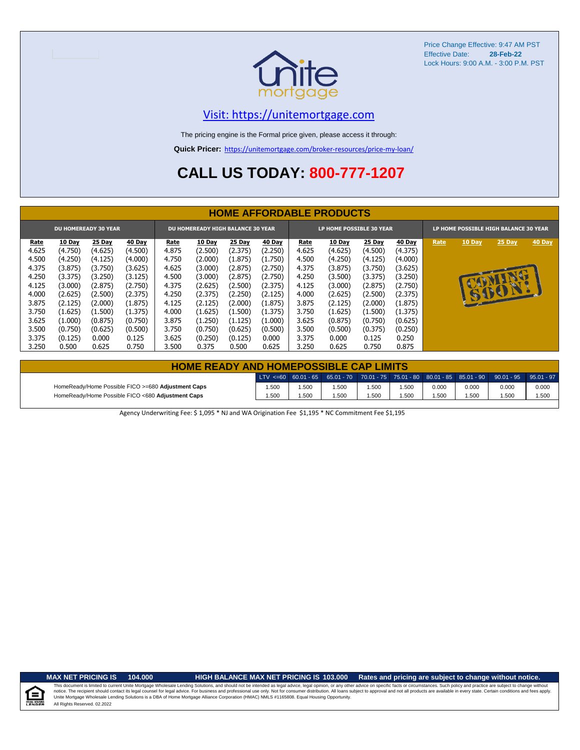

#### [V](https://unitemortgage.com/)isit: https://unitemortgage.com

The pricing engine is the Formal price given, please access it through:

**Quick Pricer:** [https://un](https://unitemortgage.com/broker-resources/price-my-loan/)itemortgage.com/broker-resources/price-my-loan/

# **CALL US TODAY: 800-777-1207**

|                             | <b>HOME AFFORDABLE PRODUCTS</b> |               |               |                                          |               |         |               |                                 |               |               |               |                                       |               |          |        |
|-----------------------------|---------------------------------|---------------|---------------|------------------------------------------|---------------|---------|---------------|---------------------------------|---------------|---------------|---------------|---------------------------------------|---------------|----------|--------|
| <b>DU HOMEREADY 30 YEAR</b> |                                 |               |               | <b>DU HOMEREADY HIGH BALANCE 30 YEAR</b> |               |         |               | <b>LP HOME POSSIBLE 30 YEAR</b> |               |               |               | LP HOME POSSIBLE HIGH BALANCE 30 YEAR |               |          |        |
| Rate                        | <b>10 Day</b>                   | <b>25 Day</b> | <b>40 Day</b> | Rate                                     | <b>10 Day</b> | 25 Day  | <b>40 Day</b> | Rate                            | <b>10 Day</b> | <b>25 Day</b> | <b>40 Day</b> | Rate                                  | <b>10 Day</b> | $25$ Day | 40 Day |
| 4.625                       | (4.750)                         | (4.625)       | (4.500)       | 4.875                                    | (2.500)       | (2.375) | (2.250)       | 4.625                           | (4.625)       | (4.500)       | (4.375)       |                                       |               |          |        |
| 4.500                       | (4.250)                         | (4.125)       | (4.000)       | 4.750                                    | (2.000)       | (1.875) | (1.750)       | 4.500                           | (4.250)       | (4.125)       | (4.000)       |                                       |               |          |        |
| 4.375                       | (3.875)                         | (3.750)       | (3.625)       | 4.625                                    | (3.000)       | (2.875) | (2.750)       | 4.375                           | (3.875)       | (3.750)       | (3.625)       |                                       |               |          |        |
| 4.250                       | (3.375)                         | (3.250)       | (3.125)       | 4.500                                    | (3.000)       | (2.875) | (2.750)       | 4.250                           | (3.500)       | (3.375)       | (3.250)       |                                       |               | NU       |        |
| 4.125                       | (3.000)                         | (2.875)       | (2.750)       | 4.375                                    | (2.625)       | (2.500) | (2.375)       | 4.125                           | (3.000)       | (2.875)       | (2.750)       |                                       |               | 15001.   |        |
| 4.000                       | (2.625)                         | (2.500)       | (2.375)       | 4.250                                    | (2.375)       | (2.250) | (2.125)       | 4.000                           | (2.625)       | (2.500)       | (2.375)       |                                       |               |          |        |
| 3.875                       | (2.125)                         | (2.000)       | (1.875)       | 4.125                                    | (2.125)       | (2.000) | (1.875)       | 3.875                           | (2.125)       | (2.000)       | (1.875)       |                                       |               |          |        |
| 3.750                       | (1.625)                         | (1.500)       | (1.375)       | 4.000                                    | (1.625)       | (1.500) | (1.375)       | 3.750                           | (1.625)       | (1.500)       | (1.375)       |                                       |               |          |        |
| 3.625                       | (1.000)                         | (0.875)       | (0.750)       | 3.875                                    | (1.250)       | (1.125) | (1.000)       | 3.625                           | (0.875)       | (0.750)       | (0.625)       |                                       |               |          |        |
| 3.500                       | (0.750)                         | (0.625)       | (0.500)       | 3.750                                    | (0.750)       | (0.625) | (0.500)       | 3.500                           | (0.500)       | (0.375)       | (0.250)       |                                       |               |          |        |
| 3.375                       | (0.125)                         | 0.000         | 0.125         | 3.625                                    | (0.250)       | (0.125) | 0.000         | 3.375                           | 0.000         | 0.125         | 0.250         |                                       |               |          |        |
| 3.250                       | 0.500                           | 0.625         | 0.750         | 3.500                                    | 0.375         | 0.500   | 0.625         | 3.250                           | 0.625         | 0.750         | 0.875         |                                       |               |          |        |

| <b>HOME READY AND HOMEPOSSIBLE CAP LIMITS</b>      |       |       |      |       |      |       |       |                                                                                                  |       |  |  |
|----------------------------------------------------|-------|-------|------|-------|------|-------|-------|--------------------------------------------------------------------------------------------------|-------|--|--|
|                                                    |       |       |      |       |      |       |       | LTV <=60 60.01 - 65 65.01 - 70 70.01 - 75 75.01 - 80 80.01 - 85 85.01 - 90 90.01 - 95 95.01 - 97 |       |  |  |
| HomeReady/Home Possible FICO >=680 Adjustment Caps | 1.500 | 1.500 | .500 | 1.500 | .500 | 0.000 | 0.000 | 0.000                                                                                            | 0.000 |  |  |
| HomeReady/Home Possible FICO <680 Adjustment Caps  | 1.500 | .500  | .500 | 1.500 | .500 | 1.500 | 1.500 | .500                                                                                             | 1.500 |  |  |

Agency Underwriting Fee: \$ 1,095 \* NJ and WA Origination Fee \$1,195 \* NC Commitment Fee \$1,195

#### **MAX NET PRICING IS 104.000 HIGH BALANCE MAX NET PRICING IS 103.000 Rates and pricing are subject to change without notice.**

All Rights Reserved. 02.2022 This document is limited to current Unite Mortgage Wholesale Lending Solutions, and should not be intended as legal advice, legal opinion, or any other advice on specific facts or circumstances. Such policy and practice ar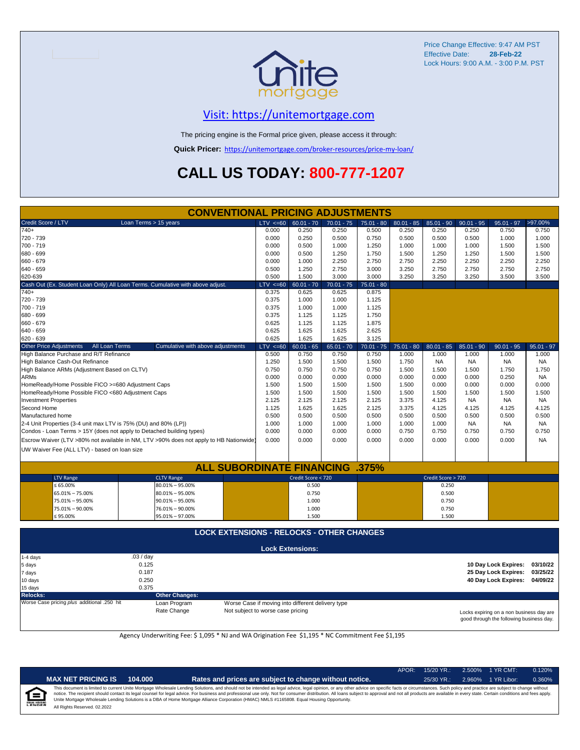

### [V](https://unitemortgage.com/)isit: https://unitemortgage.com

The pricing engine is the Formal price given, please access it through:

**Quick Pricer:** [https://un](https://unitemortgage.com/broker-resources/price-my-loan/)itemortgage.com/broker-resources/price-my-loan/

# **CALL US TODAY: 800-777-1207**

| Credit Score / LTV<br>Loan Terms > 15 years<br>$LTV \le 60$<br>$60.01 - 70$<br>$70.01 - 75$<br>$80.01 - 85$<br>$85.01 - 90$<br>$90.01 - 95$<br>$95.01 - 97$<br>>97.00%<br>$75.01 - 80$<br>$740+$<br>0.000<br>0.250<br>0.250<br>0.500<br>0.250<br>0.250<br>0.250<br>0.750<br>0.750<br>720 - 739<br>0.000<br>0.250<br>0.500<br>0.750<br>0.500<br>0.500<br>0.500<br>1.000<br>1.000<br>700 - 719<br>0.000<br>0.500<br>1.000<br>1.250<br>1.000<br>1.000<br>1.000<br>1.500<br>1.500<br>680 - 699<br>0.000<br>0.500<br>1.250<br>1.750<br>1.500<br>1.250<br>1.250<br>1.500<br>1.500<br>660 - 679<br>0.000<br>1.000<br>2.250<br>2.750<br>2.750<br>2.250<br>2.250<br>2.250<br>2.250<br>640 - 659<br>2.750<br>3.000<br>3.250<br>2.750<br>2.750<br>0.500<br>1.250<br>2.750<br>2.750<br>620-639<br>0.500<br>1.500<br>3.000<br>3.000<br>3.250<br>3.250<br>3.250<br>3.500<br>3.500<br>Cash Out (Ex. Student Loan Only) All Loan Terms. Cumulative with above adjust.<br>$LTV \le 60$<br>$60.01 - 70$<br>$70.01 - 75$<br>$75.01 - 80$<br>$740+$<br>0.375<br>0.625<br>0.625<br>0.875<br>720 - 739<br>0.375<br>1.000<br>1.000<br>1.125<br>700 - 719<br>0.375<br>1.125<br>1.000<br>1.000<br>0.375<br>680 - 699<br>1.125<br>1.750<br>1.125<br>660 - 679<br>0.625<br>1.125<br>1.125<br>1.875<br>2.625<br>640 - 659<br>0.625<br>1.625<br>1.625<br>620 - 639<br>0.625<br>1.625<br>1.625<br>3.125<br>All Loan Terms<br><b>Other Price Adjustments</b><br>Cumulative with above adjustments<br>$LTV \le 60$<br>$60.01 - 65$<br>$65.01 - 70$<br>$70.01 - 75$<br>$75.01 - 80$<br>$80.01 - 85$<br>$85.01 - 90$<br>$90.01 - 95$<br>$95.01 - 97$<br>High Balance Purchase and R/T Refinance<br>0.500<br>0.750<br>0.750<br>0.750<br>1.000<br>1.000<br>1.000<br>1.000<br>1.000<br>1.500<br>High Balance Cash-Out Refinance<br>1.250<br>1.500<br>1.500<br>1.750<br><b>NA</b><br><b>NA</b><br><b>NA</b><br><b>NA</b><br>High Balance ARMs (Adjustment Based on CLTV)<br>0.750<br>0.750<br>0.750<br>0.750<br>1.500<br>1.500<br>1.750<br>1.750<br>1.500<br>0.000<br>0.000<br>ARMs<br>0.000<br>0.000<br>0.000<br>0.000<br>0.000<br>0.250<br><b>NA</b><br>1.500<br>1.500<br>1.500<br>1.500<br>1.500<br>0.000<br>0.000<br>0.000<br>0.000<br>HomeReady/Home Possible FICO >=680 Adjustment Caps<br>HomeReady/Home Possible FICO <680 Adjustment Caps<br>1.500<br>1.500<br>1.500<br>1.500<br>1.500<br>1.500<br>1.500<br>1.500<br>1.500<br><b>Investment Properties</b><br>2.125<br>2.125<br>2.125<br>2.125<br>3.375<br>4.125<br><b>NA</b><br><b>NA</b><br><b>NA</b><br>1.125<br>Second Home<br>1.625<br>1.625<br>2.125<br>3.375<br>4.125<br>4.125<br>4.125<br>4.125<br>Manufactured home<br>0.500<br>0.500<br>0.500<br>0.500<br>0.500<br>0.500<br>0.500<br>0.500<br>0.500<br>2-4 Unit Properties (3-4 unit max LTV is 75% (DU) and 80% (LP))<br>1.000<br>1.000<br>1.000<br>1.000<br>1.000<br>1.000<br><b>NA</b><br><b>NA</b><br>NA<br>0.000<br>0.000<br>Condos - Loan Terms > 15Y (does not apply to Detached building types)<br>0.000<br>0.000<br>0.750<br>0.750<br>0.750<br>0.750<br>0.750<br>Escrow Waiver (LTV >80% not available in NM, LTV >90% does not apply to HB Nationwide)<br>0.000<br>0.000<br>0.000<br>0.000<br>0.000<br>0.000<br>0.000<br>0.000<br><b>NA</b><br>UW Waiver Fee (ALL LTV) - based on loan size<br><b>ALL SUBORDINATE FINANCING .375%</b><br>Credit Score < 720<br>Credit Score > 720<br><b>LTV Range</b><br><b>CLTV Range</b><br>$\leq 65.00\%$<br>$80.01\% - 95.00\%$<br>0.500<br>0.250<br>65.01% - 75.00%<br>80.01% - 95.00%<br>0.750<br>0.500<br>0.750<br>75.01% - 95.00%<br>$90.01\% - 95.00\%$<br>1.000<br>75.01% - 90.00%<br>76.01% - 90.00%<br>0.750<br>1.000<br>≤ 95.00%<br>95.01% - 97.00%<br>1.500<br>1.500<br><b>LOCK EXTENSIONS - RELOCKS - OTHER CHANGES</b><br><b>Lock Extensions:</b><br>.03 / day<br>1-4 days<br>0.125<br>10 Day Lock Expires:<br>03/10/22<br>5 days<br>0.187<br>25 Day Lock Expires:<br>03/25/22<br>7 days<br>0.250<br>40 Day Lock Expires:<br>04/09/22<br>10 days<br>0.375<br>15 days<br><b>Relocks:</b><br><b>Other Changes:</b><br>Worse Case pricing plus additional .250 hit<br>Loan Program<br>Worse Case if moving into different delivery type<br>Rate Change<br>Not subject to worse case pricing<br>Locks expiring on a non business day are | <b>CONVENTIONAL PRICING ADJUSTMENTS</b> |  |  |  |  |  |  |  |  |  |  |
|-----------------------------------------------------------------------------------------------------------------------------------------------------------------------------------------------------------------------------------------------------------------------------------------------------------------------------------------------------------------------------------------------------------------------------------------------------------------------------------------------------------------------------------------------------------------------------------------------------------------------------------------------------------------------------------------------------------------------------------------------------------------------------------------------------------------------------------------------------------------------------------------------------------------------------------------------------------------------------------------------------------------------------------------------------------------------------------------------------------------------------------------------------------------------------------------------------------------------------------------------------------------------------------------------------------------------------------------------------------------------------------------------------------------------------------------------------------------------------------------------------------------------------------------------------------------------------------------------------------------------------------------------------------------------------------------------------------------------------------------------------------------------------------------------------------------------------------------------------------------------------------------------------------------------------------------------------------------------------------------------------------------------------------------------------------------------------------------------------------------------------------------------------------------------------------------------------------------------------------------------------------------------------------------------------------------------------------------------------------------------------------------------------------------------------------------------------------------------------------------------------------------------------------------------------------------------------------------------------------------------------------------------------------------------------------------------------------------------------------------------------------------------------------------------------------------------------------------------------------------------------------------------------------------------------------------------------------------------------------------------------------------------------------------------------------------------------------------------------------------------------------------------------------------------------------------------------------------------------------------------------------------------------------------------------------------------------------------------------------------------------------------------------------------------------------------------------------------------------------------------------------------------------------------------------------------------------------------------------------------------------------------------------------------------------------------------------------------------------------------------------------------------------------------------------------------------------------------------------------------------------------------------------------------------------------------------------------------------------------------------------------------------------------------------------------------------------------------------------------------------------------------------------------------------------------------------------------------------------------------------------------------------------|-----------------------------------------|--|--|--|--|--|--|--|--|--|--|
|                                                                                                                                                                                                                                                                                                                                                                                                                                                                                                                                                                                                                                                                                                                                                                                                                                                                                                                                                                                                                                                                                                                                                                                                                                                                                                                                                                                                                                                                                                                                                                                                                                                                                                                                                                                                                                                                                                                                                                                                                                                                                                                                                                                                                                                                                                                                                                                                                                                                                                                                                                                                                                                                                                                                                                                                                                                                                                                                                                                                                                                                                                                                                                                                                                                                                                                                                                                                                                                                                                                                                                                                                                                                                                                                                                                                                                                                                                                                                                                                                                                                                                                                                                                                                                                                             |                                         |  |  |  |  |  |  |  |  |  |  |
|                                                                                                                                                                                                                                                                                                                                                                                                                                                                                                                                                                                                                                                                                                                                                                                                                                                                                                                                                                                                                                                                                                                                                                                                                                                                                                                                                                                                                                                                                                                                                                                                                                                                                                                                                                                                                                                                                                                                                                                                                                                                                                                                                                                                                                                                                                                                                                                                                                                                                                                                                                                                                                                                                                                                                                                                                                                                                                                                                                                                                                                                                                                                                                                                                                                                                                                                                                                                                                                                                                                                                                                                                                                                                                                                                                                                                                                                                                                                                                                                                                                                                                                                                                                                                                                                             |                                         |  |  |  |  |  |  |  |  |  |  |
|                                                                                                                                                                                                                                                                                                                                                                                                                                                                                                                                                                                                                                                                                                                                                                                                                                                                                                                                                                                                                                                                                                                                                                                                                                                                                                                                                                                                                                                                                                                                                                                                                                                                                                                                                                                                                                                                                                                                                                                                                                                                                                                                                                                                                                                                                                                                                                                                                                                                                                                                                                                                                                                                                                                                                                                                                                                                                                                                                                                                                                                                                                                                                                                                                                                                                                                                                                                                                                                                                                                                                                                                                                                                                                                                                                                                                                                                                                                                                                                                                                                                                                                                                                                                                                                                             |                                         |  |  |  |  |  |  |  |  |  |  |
|                                                                                                                                                                                                                                                                                                                                                                                                                                                                                                                                                                                                                                                                                                                                                                                                                                                                                                                                                                                                                                                                                                                                                                                                                                                                                                                                                                                                                                                                                                                                                                                                                                                                                                                                                                                                                                                                                                                                                                                                                                                                                                                                                                                                                                                                                                                                                                                                                                                                                                                                                                                                                                                                                                                                                                                                                                                                                                                                                                                                                                                                                                                                                                                                                                                                                                                                                                                                                                                                                                                                                                                                                                                                                                                                                                                                                                                                                                                                                                                                                                                                                                                                                                                                                                                                             |                                         |  |  |  |  |  |  |  |  |  |  |
|                                                                                                                                                                                                                                                                                                                                                                                                                                                                                                                                                                                                                                                                                                                                                                                                                                                                                                                                                                                                                                                                                                                                                                                                                                                                                                                                                                                                                                                                                                                                                                                                                                                                                                                                                                                                                                                                                                                                                                                                                                                                                                                                                                                                                                                                                                                                                                                                                                                                                                                                                                                                                                                                                                                                                                                                                                                                                                                                                                                                                                                                                                                                                                                                                                                                                                                                                                                                                                                                                                                                                                                                                                                                                                                                                                                                                                                                                                                                                                                                                                                                                                                                                                                                                                                                             |                                         |  |  |  |  |  |  |  |  |  |  |
|                                                                                                                                                                                                                                                                                                                                                                                                                                                                                                                                                                                                                                                                                                                                                                                                                                                                                                                                                                                                                                                                                                                                                                                                                                                                                                                                                                                                                                                                                                                                                                                                                                                                                                                                                                                                                                                                                                                                                                                                                                                                                                                                                                                                                                                                                                                                                                                                                                                                                                                                                                                                                                                                                                                                                                                                                                                                                                                                                                                                                                                                                                                                                                                                                                                                                                                                                                                                                                                                                                                                                                                                                                                                                                                                                                                                                                                                                                                                                                                                                                                                                                                                                                                                                                                                             |                                         |  |  |  |  |  |  |  |  |  |  |
|                                                                                                                                                                                                                                                                                                                                                                                                                                                                                                                                                                                                                                                                                                                                                                                                                                                                                                                                                                                                                                                                                                                                                                                                                                                                                                                                                                                                                                                                                                                                                                                                                                                                                                                                                                                                                                                                                                                                                                                                                                                                                                                                                                                                                                                                                                                                                                                                                                                                                                                                                                                                                                                                                                                                                                                                                                                                                                                                                                                                                                                                                                                                                                                                                                                                                                                                                                                                                                                                                                                                                                                                                                                                                                                                                                                                                                                                                                                                                                                                                                                                                                                                                                                                                                                                             |                                         |  |  |  |  |  |  |  |  |  |  |
|                                                                                                                                                                                                                                                                                                                                                                                                                                                                                                                                                                                                                                                                                                                                                                                                                                                                                                                                                                                                                                                                                                                                                                                                                                                                                                                                                                                                                                                                                                                                                                                                                                                                                                                                                                                                                                                                                                                                                                                                                                                                                                                                                                                                                                                                                                                                                                                                                                                                                                                                                                                                                                                                                                                                                                                                                                                                                                                                                                                                                                                                                                                                                                                                                                                                                                                                                                                                                                                                                                                                                                                                                                                                                                                                                                                                                                                                                                                                                                                                                                                                                                                                                                                                                                                                             |                                         |  |  |  |  |  |  |  |  |  |  |
|                                                                                                                                                                                                                                                                                                                                                                                                                                                                                                                                                                                                                                                                                                                                                                                                                                                                                                                                                                                                                                                                                                                                                                                                                                                                                                                                                                                                                                                                                                                                                                                                                                                                                                                                                                                                                                                                                                                                                                                                                                                                                                                                                                                                                                                                                                                                                                                                                                                                                                                                                                                                                                                                                                                                                                                                                                                                                                                                                                                                                                                                                                                                                                                                                                                                                                                                                                                                                                                                                                                                                                                                                                                                                                                                                                                                                                                                                                                                                                                                                                                                                                                                                                                                                                                                             |                                         |  |  |  |  |  |  |  |  |  |  |
|                                                                                                                                                                                                                                                                                                                                                                                                                                                                                                                                                                                                                                                                                                                                                                                                                                                                                                                                                                                                                                                                                                                                                                                                                                                                                                                                                                                                                                                                                                                                                                                                                                                                                                                                                                                                                                                                                                                                                                                                                                                                                                                                                                                                                                                                                                                                                                                                                                                                                                                                                                                                                                                                                                                                                                                                                                                                                                                                                                                                                                                                                                                                                                                                                                                                                                                                                                                                                                                                                                                                                                                                                                                                                                                                                                                                                                                                                                                                                                                                                                                                                                                                                                                                                                                                             |                                         |  |  |  |  |  |  |  |  |  |  |
|                                                                                                                                                                                                                                                                                                                                                                                                                                                                                                                                                                                                                                                                                                                                                                                                                                                                                                                                                                                                                                                                                                                                                                                                                                                                                                                                                                                                                                                                                                                                                                                                                                                                                                                                                                                                                                                                                                                                                                                                                                                                                                                                                                                                                                                                                                                                                                                                                                                                                                                                                                                                                                                                                                                                                                                                                                                                                                                                                                                                                                                                                                                                                                                                                                                                                                                                                                                                                                                                                                                                                                                                                                                                                                                                                                                                                                                                                                                                                                                                                                                                                                                                                                                                                                                                             |                                         |  |  |  |  |  |  |  |  |  |  |
|                                                                                                                                                                                                                                                                                                                                                                                                                                                                                                                                                                                                                                                                                                                                                                                                                                                                                                                                                                                                                                                                                                                                                                                                                                                                                                                                                                                                                                                                                                                                                                                                                                                                                                                                                                                                                                                                                                                                                                                                                                                                                                                                                                                                                                                                                                                                                                                                                                                                                                                                                                                                                                                                                                                                                                                                                                                                                                                                                                                                                                                                                                                                                                                                                                                                                                                                                                                                                                                                                                                                                                                                                                                                                                                                                                                                                                                                                                                                                                                                                                                                                                                                                                                                                                                                             |                                         |  |  |  |  |  |  |  |  |  |  |
|                                                                                                                                                                                                                                                                                                                                                                                                                                                                                                                                                                                                                                                                                                                                                                                                                                                                                                                                                                                                                                                                                                                                                                                                                                                                                                                                                                                                                                                                                                                                                                                                                                                                                                                                                                                                                                                                                                                                                                                                                                                                                                                                                                                                                                                                                                                                                                                                                                                                                                                                                                                                                                                                                                                                                                                                                                                                                                                                                                                                                                                                                                                                                                                                                                                                                                                                                                                                                                                                                                                                                                                                                                                                                                                                                                                                                                                                                                                                                                                                                                                                                                                                                                                                                                                                             |                                         |  |  |  |  |  |  |  |  |  |  |
|                                                                                                                                                                                                                                                                                                                                                                                                                                                                                                                                                                                                                                                                                                                                                                                                                                                                                                                                                                                                                                                                                                                                                                                                                                                                                                                                                                                                                                                                                                                                                                                                                                                                                                                                                                                                                                                                                                                                                                                                                                                                                                                                                                                                                                                                                                                                                                                                                                                                                                                                                                                                                                                                                                                                                                                                                                                                                                                                                                                                                                                                                                                                                                                                                                                                                                                                                                                                                                                                                                                                                                                                                                                                                                                                                                                                                                                                                                                                                                                                                                                                                                                                                                                                                                                                             |                                         |  |  |  |  |  |  |  |  |  |  |
|                                                                                                                                                                                                                                                                                                                                                                                                                                                                                                                                                                                                                                                                                                                                                                                                                                                                                                                                                                                                                                                                                                                                                                                                                                                                                                                                                                                                                                                                                                                                                                                                                                                                                                                                                                                                                                                                                                                                                                                                                                                                                                                                                                                                                                                                                                                                                                                                                                                                                                                                                                                                                                                                                                                                                                                                                                                                                                                                                                                                                                                                                                                                                                                                                                                                                                                                                                                                                                                                                                                                                                                                                                                                                                                                                                                                                                                                                                                                                                                                                                                                                                                                                                                                                                                                             |                                         |  |  |  |  |  |  |  |  |  |  |
|                                                                                                                                                                                                                                                                                                                                                                                                                                                                                                                                                                                                                                                                                                                                                                                                                                                                                                                                                                                                                                                                                                                                                                                                                                                                                                                                                                                                                                                                                                                                                                                                                                                                                                                                                                                                                                                                                                                                                                                                                                                                                                                                                                                                                                                                                                                                                                                                                                                                                                                                                                                                                                                                                                                                                                                                                                                                                                                                                                                                                                                                                                                                                                                                                                                                                                                                                                                                                                                                                                                                                                                                                                                                                                                                                                                                                                                                                                                                                                                                                                                                                                                                                                                                                                                                             |                                         |  |  |  |  |  |  |  |  |  |  |
|                                                                                                                                                                                                                                                                                                                                                                                                                                                                                                                                                                                                                                                                                                                                                                                                                                                                                                                                                                                                                                                                                                                                                                                                                                                                                                                                                                                                                                                                                                                                                                                                                                                                                                                                                                                                                                                                                                                                                                                                                                                                                                                                                                                                                                                                                                                                                                                                                                                                                                                                                                                                                                                                                                                                                                                                                                                                                                                                                                                                                                                                                                                                                                                                                                                                                                                                                                                                                                                                                                                                                                                                                                                                                                                                                                                                                                                                                                                                                                                                                                                                                                                                                                                                                                                                             |                                         |  |  |  |  |  |  |  |  |  |  |
|                                                                                                                                                                                                                                                                                                                                                                                                                                                                                                                                                                                                                                                                                                                                                                                                                                                                                                                                                                                                                                                                                                                                                                                                                                                                                                                                                                                                                                                                                                                                                                                                                                                                                                                                                                                                                                                                                                                                                                                                                                                                                                                                                                                                                                                                                                                                                                                                                                                                                                                                                                                                                                                                                                                                                                                                                                                                                                                                                                                                                                                                                                                                                                                                                                                                                                                                                                                                                                                                                                                                                                                                                                                                                                                                                                                                                                                                                                                                                                                                                                                                                                                                                                                                                                                                             |                                         |  |  |  |  |  |  |  |  |  |  |
|                                                                                                                                                                                                                                                                                                                                                                                                                                                                                                                                                                                                                                                                                                                                                                                                                                                                                                                                                                                                                                                                                                                                                                                                                                                                                                                                                                                                                                                                                                                                                                                                                                                                                                                                                                                                                                                                                                                                                                                                                                                                                                                                                                                                                                                                                                                                                                                                                                                                                                                                                                                                                                                                                                                                                                                                                                                                                                                                                                                                                                                                                                                                                                                                                                                                                                                                                                                                                                                                                                                                                                                                                                                                                                                                                                                                                                                                                                                                                                                                                                                                                                                                                                                                                                                                             |                                         |  |  |  |  |  |  |  |  |  |  |
|                                                                                                                                                                                                                                                                                                                                                                                                                                                                                                                                                                                                                                                                                                                                                                                                                                                                                                                                                                                                                                                                                                                                                                                                                                                                                                                                                                                                                                                                                                                                                                                                                                                                                                                                                                                                                                                                                                                                                                                                                                                                                                                                                                                                                                                                                                                                                                                                                                                                                                                                                                                                                                                                                                                                                                                                                                                                                                                                                                                                                                                                                                                                                                                                                                                                                                                                                                                                                                                                                                                                                                                                                                                                                                                                                                                                                                                                                                                                                                                                                                                                                                                                                                                                                                                                             |                                         |  |  |  |  |  |  |  |  |  |  |
|                                                                                                                                                                                                                                                                                                                                                                                                                                                                                                                                                                                                                                                                                                                                                                                                                                                                                                                                                                                                                                                                                                                                                                                                                                                                                                                                                                                                                                                                                                                                                                                                                                                                                                                                                                                                                                                                                                                                                                                                                                                                                                                                                                                                                                                                                                                                                                                                                                                                                                                                                                                                                                                                                                                                                                                                                                                                                                                                                                                                                                                                                                                                                                                                                                                                                                                                                                                                                                                                                                                                                                                                                                                                                                                                                                                                                                                                                                                                                                                                                                                                                                                                                                                                                                                                             |                                         |  |  |  |  |  |  |  |  |  |  |
|                                                                                                                                                                                                                                                                                                                                                                                                                                                                                                                                                                                                                                                                                                                                                                                                                                                                                                                                                                                                                                                                                                                                                                                                                                                                                                                                                                                                                                                                                                                                                                                                                                                                                                                                                                                                                                                                                                                                                                                                                                                                                                                                                                                                                                                                                                                                                                                                                                                                                                                                                                                                                                                                                                                                                                                                                                                                                                                                                                                                                                                                                                                                                                                                                                                                                                                                                                                                                                                                                                                                                                                                                                                                                                                                                                                                                                                                                                                                                                                                                                                                                                                                                                                                                                                                             |                                         |  |  |  |  |  |  |  |  |  |  |
|                                                                                                                                                                                                                                                                                                                                                                                                                                                                                                                                                                                                                                                                                                                                                                                                                                                                                                                                                                                                                                                                                                                                                                                                                                                                                                                                                                                                                                                                                                                                                                                                                                                                                                                                                                                                                                                                                                                                                                                                                                                                                                                                                                                                                                                                                                                                                                                                                                                                                                                                                                                                                                                                                                                                                                                                                                                                                                                                                                                                                                                                                                                                                                                                                                                                                                                                                                                                                                                                                                                                                                                                                                                                                                                                                                                                                                                                                                                                                                                                                                                                                                                                                                                                                                                                             |                                         |  |  |  |  |  |  |  |  |  |  |
|                                                                                                                                                                                                                                                                                                                                                                                                                                                                                                                                                                                                                                                                                                                                                                                                                                                                                                                                                                                                                                                                                                                                                                                                                                                                                                                                                                                                                                                                                                                                                                                                                                                                                                                                                                                                                                                                                                                                                                                                                                                                                                                                                                                                                                                                                                                                                                                                                                                                                                                                                                                                                                                                                                                                                                                                                                                                                                                                                                                                                                                                                                                                                                                                                                                                                                                                                                                                                                                                                                                                                                                                                                                                                                                                                                                                                                                                                                                                                                                                                                                                                                                                                                                                                                                                             |                                         |  |  |  |  |  |  |  |  |  |  |
|                                                                                                                                                                                                                                                                                                                                                                                                                                                                                                                                                                                                                                                                                                                                                                                                                                                                                                                                                                                                                                                                                                                                                                                                                                                                                                                                                                                                                                                                                                                                                                                                                                                                                                                                                                                                                                                                                                                                                                                                                                                                                                                                                                                                                                                                                                                                                                                                                                                                                                                                                                                                                                                                                                                                                                                                                                                                                                                                                                                                                                                                                                                                                                                                                                                                                                                                                                                                                                                                                                                                                                                                                                                                                                                                                                                                                                                                                                                                                                                                                                                                                                                                                                                                                                                                             |                                         |  |  |  |  |  |  |  |  |  |  |
|                                                                                                                                                                                                                                                                                                                                                                                                                                                                                                                                                                                                                                                                                                                                                                                                                                                                                                                                                                                                                                                                                                                                                                                                                                                                                                                                                                                                                                                                                                                                                                                                                                                                                                                                                                                                                                                                                                                                                                                                                                                                                                                                                                                                                                                                                                                                                                                                                                                                                                                                                                                                                                                                                                                                                                                                                                                                                                                                                                                                                                                                                                                                                                                                                                                                                                                                                                                                                                                                                                                                                                                                                                                                                                                                                                                                                                                                                                                                                                                                                                                                                                                                                                                                                                                                             |                                         |  |  |  |  |  |  |  |  |  |  |
|                                                                                                                                                                                                                                                                                                                                                                                                                                                                                                                                                                                                                                                                                                                                                                                                                                                                                                                                                                                                                                                                                                                                                                                                                                                                                                                                                                                                                                                                                                                                                                                                                                                                                                                                                                                                                                                                                                                                                                                                                                                                                                                                                                                                                                                                                                                                                                                                                                                                                                                                                                                                                                                                                                                                                                                                                                                                                                                                                                                                                                                                                                                                                                                                                                                                                                                                                                                                                                                                                                                                                                                                                                                                                                                                                                                                                                                                                                                                                                                                                                                                                                                                                                                                                                                                             |                                         |  |  |  |  |  |  |  |  |  |  |
|                                                                                                                                                                                                                                                                                                                                                                                                                                                                                                                                                                                                                                                                                                                                                                                                                                                                                                                                                                                                                                                                                                                                                                                                                                                                                                                                                                                                                                                                                                                                                                                                                                                                                                                                                                                                                                                                                                                                                                                                                                                                                                                                                                                                                                                                                                                                                                                                                                                                                                                                                                                                                                                                                                                                                                                                                                                                                                                                                                                                                                                                                                                                                                                                                                                                                                                                                                                                                                                                                                                                                                                                                                                                                                                                                                                                                                                                                                                                                                                                                                                                                                                                                                                                                                                                             |                                         |  |  |  |  |  |  |  |  |  |  |
|                                                                                                                                                                                                                                                                                                                                                                                                                                                                                                                                                                                                                                                                                                                                                                                                                                                                                                                                                                                                                                                                                                                                                                                                                                                                                                                                                                                                                                                                                                                                                                                                                                                                                                                                                                                                                                                                                                                                                                                                                                                                                                                                                                                                                                                                                                                                                                                                                                                                                                                                                                                                                                                                                                                                                                                                                                                                                                                                                                                                                                                                                                                                                                                                                                                                                                                                                                                                                                                                                                                                                                                                                                                                                                                                                                                                                                                                                                                                                                                                                                                                                                                                                                                                                                                                             |                                         |  |  |  |  |  |  |  |  |  |  |
|                                                                                                                                                                                                                                                                                                                                                                                                                                                                                                                                                                                                                                                                                                                                                                                                                                                                                                                                                                                                                                                                                                                                                                                                                                                                                                                                                                                                                                                                                                                                                                                                                                                                                                                                                                                                                                                                                                                                                                                                                                                                                                                                                                                                                                                                                                                                                                                                                                                                                                                                                                                                                                                                                                                                                                                                                                                                                                                                                                                                                                                                                                                                                                                                                                                                                                                                                                                                                                                                                                                                                                                                                                                                                                                                                                                                                                                                                                                                                                                                                                                                                                                                                                                                                                                                             |                                         |  |  |  |  |  |  |  |  |  |  |
|                                                                                                                                                                                                                                                                                                                                                                                                                                                                                                                                                                                                                                                                                                                                                                                                                                                                                                                                                                                                                                                                                                                                                                                                                                                                                                                                                                                                                                                                                                                                                                                                                                                                                                                                                                                                                                                                                                                                                                                                                                                                                                                                                                                                                                                                                                                                                                                                                                                                                                                                                                                                                                                                                                                                                                                                                                                                                                                                                                                                                                                                                                                                                                                                                                                                                                                                                                                                                                                                                                                                                                                                                                                                                                                                                                                                                                                                                                                                                                                                                                                                                                                                                                                                                                                                             |                                         |  |  |  |  |  |  |  |  |  |  |
|                                                                                                                                                                                                                                                                                                                                                                                                                                                                                                                                                                                                                                                                                                                                                                                                                                                                                                                                                                                                                                                                                                                                                                                                                                                                                                                                                                                                                                                                                                                                                                                                                                                                                                                                                                                                                                                                                                                                                                                                                                                                                                                                                                                                                                                                                                                                                                                                                                                                                                                                                                                                                                                                                                                                                                                                                                                                                                                                                                                                                                                                                                                                                                                                                                                                                                                                                                                                                                                                                                                                                                                                                                                                                                                                                                                                                                                                                                                                                                                                                                                                                                                                                                                                                                                                             |                                         |  |  |  |  |  |  |  |  |  |  |
|                                                                                                                                                                                                                                                                                                                                                                                                                                                                                                                                                                                                                                                                                                                                                                                                                                                                                                                                                                                                                                                                                                                                                                                                                                                                                                                                                                                                                                                                                                                                                                                                                                                                                                                                                                                                                                                                                                                                                                                                                                                                                                                                                                                                                                                                                                                                                                                                                                                                                                                                                                                                                                                                                                                                                                                                                                                                                                                                                                                                                                                                                                                                                                                                                                                                                                                                                                                                                                                                                                                                                                                                                                                                                                                                                                                                                                                                                                                                                                                                                                                                                                                                                                                                                                                                             |                                         |  |  |  |  |  |  |  |  |  |  |
|                                                                                                                                                                                                                                                                                                                                                                                                                                                                                                                                                                                                                                                                                                                                                                                                                                                                                                                                                                                                                                                                                                                                                                                                                                                                                                                                                                                                                                                                                                                                                                                                                                                                                                                                                                                                                                                                                                                                                                                                                                                                                                                                                                                                                                                                                                                                                                                                                                                                                                                                                                                                                                                                                                                                                                                                                                                                                                                                                                                                                                                                                                                                                                                                                                                                                                                                                                                                                                                                                                                                                                                                                                                                                                                                                                                                                                                                                                                                                                                                                                                                                                                                                                                                                                                                             |                                         |  |  |  |  |  |  |  |  |  |  |
|                                                                                                                                                                                                                                                                                                                                                                                                                                                                                                                                                                                                                                                                                                                                                                                                                                                                                                                                                                                                                                                                                                                                                                                                                                                                                                                                                                                                                                                                                                                                                                                                                                                                                                                                                                                                                                                                                                                                                                                                                                                                                                                                                                                                                                                                                                                                                                                                                                                                                                                                                                                                                                                                                                                                                                                                                                                                                                                                                                                                                                                                                                                                                                                                                                                                                                                                                                                                                                                                                                                                                                                                                                                                                                                                                                                                                                                                                                                                                                                                                                                                                                                                                                                                                                                                             |                                         |  |  |  |  |  |  |  |  |  |  |
|                                                                                                                                                                                                                                                                                                                                                                                                                                                                                                                                                                                                                                                                                                                                                                                                                                                                                                                                                                                                                                                                                                                                                                                                                                                                                                                                                                                                                                                                                                                                                                                                                                                                                                                                                                                                                                                                                                                                                                                                                                                                                                                                                                                                                                                                                                                                                                                                                                                                                                                                                                                                                                                                                                                                                                                                                                                                                                                                                                                                                                                                                                                                                                                                                                                                                                                                                                                                                                                                                                                                                                                                                                                                                                                                                                                                                                                                                                                                                                                                                                                                                                                                                                                                                                                                             |                                         |  |  |  |  |  |  |  |  |  |  |
|                                                                                                                                                                                                                                                                                                                                                                                                                                                                                                                                                                                                                                                                                                                                                                                                                                                                                                                                                                                                                                                                                                                                                                                                                                                                                                                                                                                                                                                                                                                                                                                                                                                                                                                                                                                                                                                                                                                                                                                                                                                                                                                                                                                                                                                                                                                                                                                                                                                                                                                                                                                                                                                                                                                                                                                                                                                                                                                                                                                                                                                                                                                                                                                                                                                                                                                                                                                                                                                                                                                                                                                                                                                                                                                                                                                                                                                                                                                                                                                                                                                                                                                                                                                                                                                                             |                                         |  |  |  |  |  |  |  |  |  |  |
|                                                                                                                                                                                                                                                                                                                                                                                                                                                                                                                                                                                                                                                                                                                                                                                                                                                                                                                                                                                                                                                                                                                                                                                                                                                                                                                                                                                                                                                                                                                                                                                                                                                                                                                                                                                                                                                                                                                                                                                                                                                                                                                                                                                                                                                                                                                                                                                                                                                                                                                                                                                                                                                                                                                                                                                                                                                                                                                                                                                                                                                                                                                                                                                                                                                                                                                                                                                                                                                                                                                                                                                                                                                                                                                                                                                                                                                                                                                                                                                                                                                                                                                                                                                                                                                                             |                                         |  |  |  |  |  |  |  |  |  |  |
|                                                                                                                                                                                                                                                                                                                                                                                                                                                                                                                                                                                                                                                                                                                                                                                                                                                                                                                                                                                                                                                                                                                                                                                                                                                                                                                                                                                                                                                                                                                                                                                                                                                                                                                                                                                                                                                                                                                                                                                                                                                                                                                                                                                                                                                                                                                                                                                                                                                                                                                                                                                                                                                                                                                                                                                                                                                                                                                                                                                                                                                                                                                                                                                                                                                                                                                                                                                                                                                                                                                                                                                                                                                                                                                                                                                                                                                                                                                                                                                                                                                                                                                                                                                                                                                                             |                                         |  |  |  |  |  |  |  |  |  |  |
|                                                                                                                                                                                                                                                                                                                                                                                                                                                                                                                                                                                                                                                                                                                                                                                                                                                                                                                                                                                                                                                                                                                                                                                                                                                                                                                                                                                                                                                                                                                                                                                                                                                                                                                                                                                                                                                                                                                                                                                                                                                                                                                                                                                                                                                                                                                                                                                                                                                                                                                                                                                                                                                                                                                                                                                                                                                                                                                                                                                                                                                                                                                                                                                                                                                                                                                                                                                                                                                                                                                                                                                                                                                                                                                                                                                                                                                                                                                                                                                                                                                                                                                                                                                                                                                                             |                                         |  |  |  |  |  |  |  |  |  |  |
|                                                                                                                                                                                                                                                                                                                                                                                                                                                                                                                                                                                                                                                                                                                                                                                                                                                                                                                                                                                                                                                                                                                                                                                                                                                                                                                                                                                                                                                                                                                                                                                                                                                                                                                                                                                                                                                                                                                                                                                                                                                                                                                                                                                                                                                                                                                                                                                                                                                                                                                                                                                                                                                                                                                                                                                                                                                                                                                                                                                                                                                                                                                                                                                                                                                                                                                                                                                                                                                                                                                                                                                                                                                                                                                                                                                                                                                                                                                                                                                                                                                                                                                                                                                                                                                                             |                                         |  |  |  |  |  |  |  |  |  |  |
|                                                                                                                                                                                                                                                                                                                                                                                                                                                                                                                                                                                                                                                                                                                                                                                                                                                                                                                                                                                                                                                                                                                                                                                                                                                                                                                                                                                                                                                                                                                                                                                                                                                                                                                                                                                                                                                                                                                                                                                                                                                                                                                                                                                                                                                                                                                                                                                                                                                                                                                                                                                                                                                                                                                                                                                                                                                                                                                                                                                                                                                                                                                                                                                                                                                                                                                                                                                                                                                                                                                                                                                                                                                                                                                                                                                                                                                                                                                                                                                                                                                                                                                                                                                                                                                                             |                                         |  |  |  |  |  |  |  |  |  |  |
|                                                                                                                                                                                                                                                                                                                                                                                                                                                                                                                                                                                                                                                                                                                                                                                                                                                                                                                                                                                                                                                                                                                                                                                                                                                                                                                                                                                                                                                                                                                                                                                                                                                                                                                                                                                                                                                                                                                                                                                                                                                                                                                                                                                                                                                                                                                                                                                                                                                                                                                                                                                                                                                                                                                                                                                                                                                                                                                                                                                                                                                                                                                                                                                                                                                                                                                                                                                                                                                                                                                                                                                                                                                                                                                                                                                                                                                                                                                                                                                                                                                                                                                                                                                                                                                                             |                                         |  |  |  |  |  |  |  |  |  |  |
|                                                                                                                                                                                                                                                                                                                                                                                                                                                                                                                                                                                                                                                                                                                                                                                                                                                                                                                                                                                                                                                                                                                                                                                                                                                                                                                                                                                                                                                                                                                                                                                                                                                                                                                                                                                                                                                                                                                                                                                                                                                                                                                                                                                                                                                                                                                                                                                                                                                                                                                                                                                                                                                                                                                                                                                                                                                                                                                                                                                                                                                                                                                                                                                                                                                                                                                                                                                                                                                                                                                                                                                                                                                                                                                                                                                                                                                                                                                                                                                                                                                                                                                                                                                                                                                                             |                                         |  |  |  |  |  |  |  |  |  |  |
|                                                                                                                                                                                                                                                                                                                                                                                                                                                                                                                                                                                                                                                                                                                                                                                                                                                                                                                                                                                                                                                                                                                                                                                                                                                                                                                                                                                                                                                                                                                                                                                                                                                                                                                                                                                                                                                                                                                                                                                                                                                                                                                                                                                                                                                                                                                                                                                                                                                                                                                                                                                                                                                                                                                                                                                                                                                                                                                                                                                                                                                                                                                                                                                                                                                                                                                                                                                                                                                                                                                                                                                                                                                                                                                                                                                                                                                                                                                                                                                                                                                                                                                                                                                                                                                                             |                                         |  |  |  |  |  |  |  |  |  |  |
|                                                                                                                                                                                                                                                                                                                                                                                                                                                                                                                                                                                                                                                                                                                                                                                                                                                                                                                                                                                                                                                                                                                                                                                                                                                                                                                                                                                                                                                                                                                                                                                                                                                                                                                                                                                                                                                                                                                                                                                                                                                                                                                                                                                                                                                                                                                                                                                                                                                                                                                                                                                                                                                                                                                                                                                                                                                                                                                                                                                                                                                                                                                                                                                                                                                                                                                                                                                                                                                                                                                                                                                                                                                                                                                                                                                                                                                                                                                                                                                                                                                                                                                                                                                                                                                                             |                                         |  |  |  |  |  |  |  |  |  |  |
|                                                                                                                                                                                                                                                                                                                                                                                                                                                                                                                                                                                                                                                                                                                                                                                                                                                                                                                                                                                                                                                                                                                                                                                                                                                                                                                                                                                                                                                                                                                                                                                                                                                                                                                                                                                                                                                                                                                                                                                                                                                                                                                                                                                                                                                                                                                                                                                                                                                                                                                                                                                                                                                                                                                                                                                                                                                                                                                                                                                                                                                                                                                                                                                                                                                                                                                                                                                                                                                                                                                                                                                                                                                                                                                                                                                                                                                                                                                                                                                                                                                                                                                                                                                                                                                                             |                                         |  |  |  |  |  |  |  |  |  |  |
|                                                                                                                                                                                                                                                                                                                                                                                                                                                                                                                                                                                                                                                                                                                                                                                                                                                                                                                                                                                                                                                                                                                                                                                                                                                                                                                                                                                                                                                                                                                                                                                                                                                                                                                                                                                                                                                                                                                                                                                                                                                                                                                                                                                                                                                                                                                                                                                                                                                                                                                                                                                                                                                                                                                                                                                                                                                                                                                                                                                                                                                                                                                                                                                                                                                                                                                                                                                                                                                                                                                                                                                                                                                                                                                                                                                                                                                                                                                                                                                                                                                                                                                                                                                                                                                                             |                                         |  |  |  |  |  |  |  |  |  |  |
|                                                                                                                                                                                                                                                                                                                                                                                                                                                                                                                                                                                                                                                                                                                                                                                                                                                                                                                                                                                                                                                                                                                                                                                                                                                                                                                                                                                                                                                                                                                                                                                                                                                                                                                                                                                                                                                                                                                                                                                                                                                                                                                                                                                                                                                                                                                                                                                                                                                                                                                                                                                                                                                                                                                                                                                                                                                                                                                                                                                                                                                                                                                                                                                                                                                                                                                                                                                                                                                                                                                                                                                                                                                                                                                                                                                                                                                                                                                                                                                                                                                                                                                                                                                                                                                                             |                                         |  |  |  |  |  |  |  |  |  |  |
|                                                                                                                                                                                                                                                                                                                                                                                                                                                                                                                                                                                                                                                                                                                                                                                                                                                                                                                                                                                                                                                                                                                                                                                                                                                                                                                                                                                                                                                                                                                                                                                                                                                                                                                                                                                                                                                                                                                                                                                                                                                                                                                                                                                                                                                                                                                                                                                                                                                                                                                                                                                                                                                                                                                                                                                                                                                                                                                                                                                                                                                                                                                                                                                                                                                                                                                                                                                                                                                                                                                                                                                                                                                                                                                                                                                                                                                                                                                                                                                                                                                                                                                                                                                                                                                                             |                                         |  |  |  |  |  |  |  |  |  |  |

Locks expiring on a non business day are good through the following business day.

Agency Underwriting Fee: \$ 1,095 \* NJ and WA Origination Fee \$1,195 \* NC Commitment Fee \$1,195

|                           |                              |         |                                                                                                                                                                                                                                                                                                                                                                                                                                                                                                                                                                                                                | APOR: | $15/20$ YR:  |        | 2.500% 1 YR CMT: | 0.120% |
|---------------------------|------------------------------|---------|----------------------------------------------------------------------------------------------------------------------------------------------------------------------------------------------------------------------------------------------------------------------------------------------------------------------------------------------------------------------------------------------------------------------------------------------------------------------------------------------------------------------------------------------------------------------------------------------------------------|-------|--------------|--------|------------------|--------|
|                           | <b>MAX NET PRICING IS</b>    | 104.000 | Rates and prices are subject to change without notice.                                                                                                                                                                                                                                                                                                                                                                                                                                                                                                                                                         |       | $25/30$ YR.: | 2.960% | 1 YR Libor:      | 0.360% |
| 仺<br><b>EQUAL HOUSING</b> | All Rights Reserved, 02,2022 |         | This document is limited to current Unite Mortgage Wholesale Lending Solutions, and should not be intended as legal advice, legal opinion, or any other advice on specific facts or circumstances. Such policy and practice ar<br>notice. The recipient should contact its legal counsel for legal advice. For business and professional use only. Not for consumer distribution. All loans subject to approval and not all products are available in every stat<br>Unite Mortgage Wholesale Lending Solutions is a DBA of Home Mortgage Alliance Corporation (HMAC) NMLS #1165808. Equal Housing Opportunity. |       |              |        |                  |        |